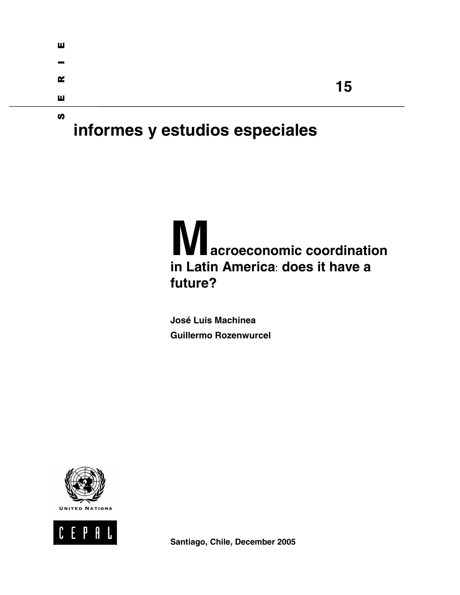| n<br>$\blacksquare$   | $\mathbf{r} = \mathbf{r}$ |
|-----------------------|---------------------------|
| ш                     |                           |
| $\boldsymbol{\alpha}$ | 15                        |
|                       |                           |
| ш                     |                           |

# **informes y estudios especiales**

**Macroeconomic coordination in Latin America**: **does it have a future?** 

**José Luis Machinea Guillermo Rozenwurcel**





**Santiago, Chile, December 2005**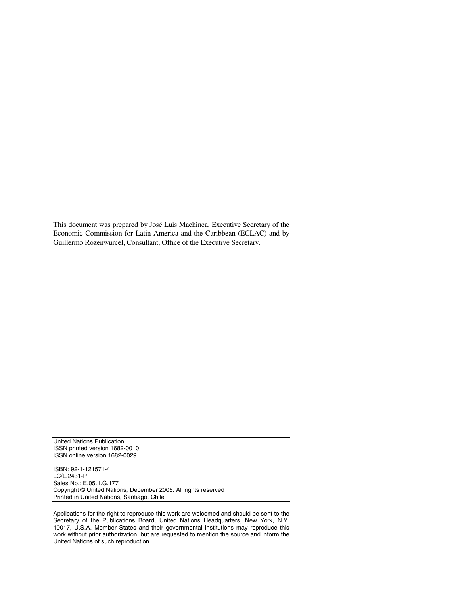This document was prepared by José Luis Machinea, Executive Secretary of the Economic Commission for Latin America and the Caribbean (ECLAC) and by Guillermo Rozenwurcel, Consultant, Office of the Executive Secretary.

United Nations Publication ISSN printed version 1682-0010 ISSN online version 1682-0029

ISBN: 92-1-121571-4 LC/L.2431-P Sales No.: E.05.II.G.177 Copyright © United Nations, December 2005. All rights reserved Printed in United Nations, Santiago, Chile

Applications for the right to reproduce this work are welcomed and should be sent to the Secretary of the Publications Board, United Nations Headquarters, New York, N.Y. 10017, U.S.A. Member States and their governmental institutions may reproduce this work without prior authorization, but are requested to mention the source and inform the United Nations of such reproduction.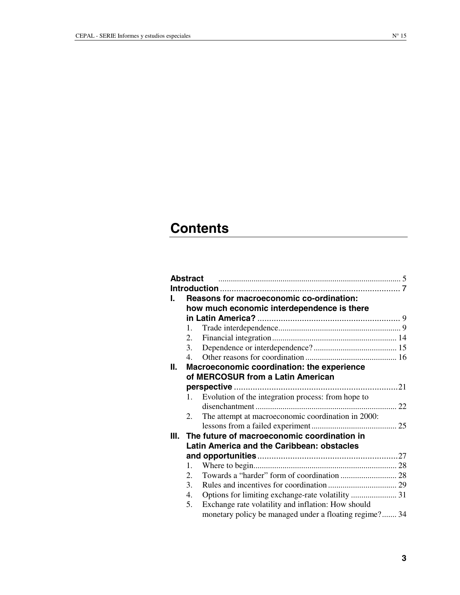# **Contents**

|      | <b>Abstract</b> | <b>Reasons for macroeconomic co-ordination:</b><br>how much economic interdependence is there |  |
|------|-----------------|-----------------------------------------------------------------------------------------------|--|
|      |                 |                                                                                               |  |
|      | $1_{\cdot}$     |                                                                                               |  |
|      | 2.              |                                                                                               |  |
|      | 3.              |                                                                                               |  |
|      | 4.              |                                                                                               |  |
| Ш.   |                 | Macroeconomic coordination: the experience                                                    |  |
|      |                 | of MERCOSUR from a Latin American                                                             |  |
|      |                 |                                                                                               |  |
|      | 1.              | Evolution of the integration process: from hope to                                            |  |
|      |                 |                                                                                               |  |
|      | 2.              | The attempt at macroeconomic coordination in 2000:                                            |  |
|      |                 |                                                                                               |  |
| III. |                 | The future of macroeconomic coordination in                                                   |  |
|      |                 | <b>Latin America and the Caribbean: obstacles</b>                                             |  |
|      |                 |                                                                                               |  |
|      | $1_{\cdot}$     |                                                                                               |  |
|      | 2.              |                                                                                               |  |
|      | 3.              |                                                                                               |  |
|      | 4.              |                                                                                               |  |
|      | 5.              | Exchange rate volatility and inflation: How should                                            |  |
|      |                 | monetary policy be managed under a floating regime? 34                                        |  |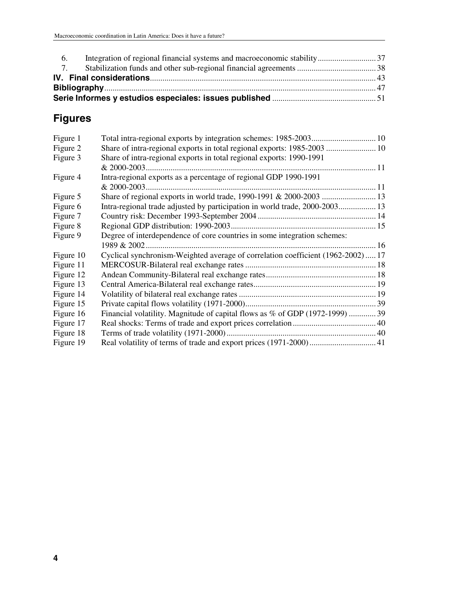| 6. |  |  |  |
|----|--|--|--|
| 7. |  |  |  |
|    |  |  |  |
|    |  |  |  |
|    |  |  |  |

# **Figures**

| Figure 1  |                                                                                 |  |
|-----------|---------------------------------------------------------------------------------|--|
| Figure 2  | Share of intra-regional exports in total regional exports: 1985-2003  10        |  |
| Figure 3  | Share of intra-regional exports in total regional exports: 1990-1991            |  |
|           |                                                                                 |  |
| Figure 4  | Intra-regional exports as a percentage of regional GDP 1990-1991                |  |
|           |                                                                                 |  |
| Figure 5  |                                                                                 |  |
| Figure 6  | Intra-regional trade adjusted by participation in world trade, 2000-2003 13     |  |
| Figure 7  |                                                                                 |  |
| Figure 8  |                                                                                 |  |
| Figure 9  | Degree of interdependence of core countries in some integration schemes:        |  |
|           |                                                                                 |  |
| Figure 10 | Cyclical synchronism-Weighted average of correlation coefficient (1962-2002) 17 |  |
| Figure 11 |                                                                                 |  |
| Figure 12 |                                                                                 |  |
| Figure 13 |                                                                                 |  |
| Figure 14 |                                                                                 |  |
| Figure 15 |                                                                                 |  |
| Figure 16 | Financial volatility. Magnitude of capital flows as % of GDP (1972-1999)  39    |  |
| Figure 17 |                                                                                 |  |
| Figure 18 |                                                                                 |  |
| Figure 19 |                                                                                 |  |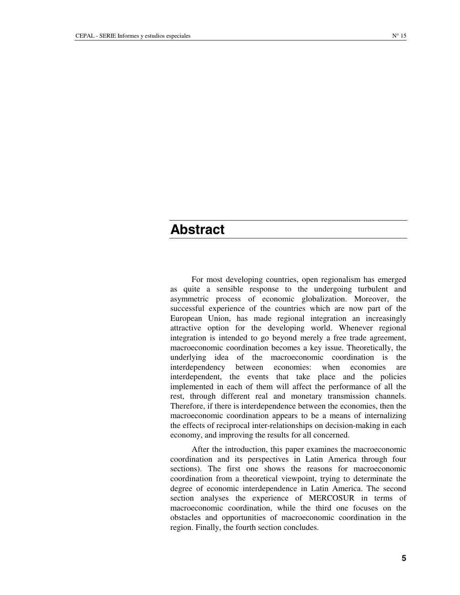# **Abstract**

For most developing countries, open regionalism has emerged as quite a sensible response to the undergoing turbulent and asymmetric process of economic globalization. Moreover, the successful experience of the countries which are now part of the European Union, has made regional integration an increasingly attractive option for the developing world. Whenever regional integration is intended to go beyond merely a free trade agreement, macroeconomic coordination becomes a key issue. Theoretically, the underlying idea of the macroeconomic coordination is the interdependency between economies: when economies are interdependent, the events that take place and the policies implemented in each of them will affect the performance of all the rest, through different real and monetary transmission channels. Therefore, if there is interdependence between the economies, then the macroeconomic coordination appears to be a means of internalizing the effects of reciprocal inter-relationships on decision-making in each economy, and improving the results for all concerned.

After the introduction, this paper examines the macroeconomic coordination and its perspectives in Latin America through four sections). The first one shows the reasons for macroeconomic coordination from a theoretical viewpoint, trying to determinate the degree of economic interdependence in Latin America. The second section analyses the experience of MERCOSUR in terms of macroeconomic coordination, while the third one focuses on the obstacles and opportunities of macroeconomic coordination in the region. Finally, the fourth section concludes.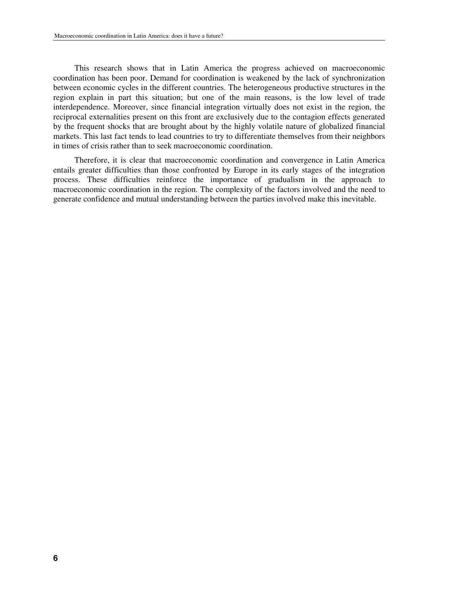This research shows that in Latin America the progress achieved on macroeconomic coordination has been poor. Demand for coordination is weakened by the lack of synchronization between economic cycles in the different countries. The heterogeneous productive structures in the region explain in part this situation; but one of the main reasons, is the low level of trade interdependence. Moreover, since financial integration virtually does not exist in the region, the reciprocal externalities present on this front are exclusively due to the contagion effects generated by the frequent shocks that are brought about by the highly volatile nature of globalized financial markets. This last fact tends to lead countries to try to differentiate themselves from their neighbors in times of crisis rather than to seek macroeconomic coordination.

Therefore, it is clear that macroeconomic coordination and convergence in Latin America entails greater difficulties than those confronted by Europe in its early stages of the integration process. These difficulties reinforce the importance of gradualism in the approach to macroeconomic coordination in the region. The complexity of the factors involved and the need to generate confidence and mutual understanding between the parties involved make this inevitable.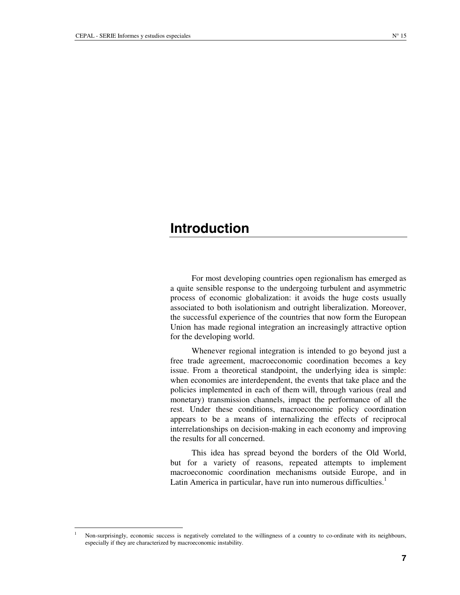**.** 

# **Introduction**

For most developing countries open regionalism has emerged as a quite sensible response to the undergoing turbulent and asymmetric process of economic globalization: it avoids the huge costs usually associated to both isolationism and outright liberalization. Moreover, the successful experience of the countries that now form the European Union has made regional integration an increasingly attractive option for the developing world.

Whenever regional integration is intended to go beyond just a free trade agreement, macroeconomic coordination becomes a key issue. From a theoretical standpoint, the underlying idea is simple: when economies are interdependent, the events that take place and the policies implemented in each of them will, through various (real and monetary) transmission channels, impact the performance of all the rest. Under these conditions, macroeconomic policy coordination appears to be a means of internalizing the effects of reciprocal interrelationships on decision-making in each economy and improving the results for all concerned.

This idea has spread beyond the borders of the Old World, but for a variety of reasons, repeated attempts to implement macroeconomic coordination mechanisms outside Europe, and in Latin America in particular, have run into numerous difficulties.<sup>1</sup>

<sup>1</sup> Non-surprisingly, economic success is negatively correlated to the willingness of a country to co-ordinate with its neighbours, especially if they are characterized by macroeconomic instability.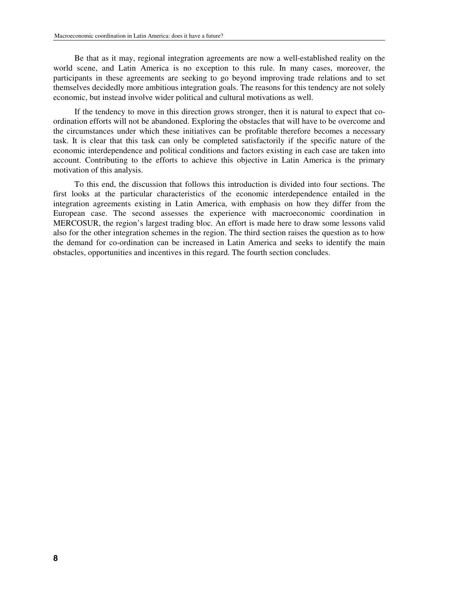Be that as it may, regional integration agreements are now a well-established reality on the world scene, and Latin America is no exception to this rule. In many cases, moreover, the participants in these agreements are seeking to go beyond improving trade relations and to set themselves decidedly more ambitious integration goals. The reasons for this tendency are not solely economic, but instead involve wider political and cultural motivations as well.

If the tendency to move in this direction grows stronger, then it is natural to expect that coordination efforts will not be abandoned. Exploring the obstacles that will have to be overcome and the circumstances under which these initiatives can be profitable therefore becomes a necessary task. It is clear that this task can only be completed satisfactorily if the specific nature of the economic interdependence and political conditions and factors existing in each case are taken into account. Contributing to the efforts to achieve this objective in Latin America is the primary motivation of this analysis.

To this end, the discussion that follows this introduction is divided into four sections. The first looks at the particular characteristics of the economic interdependence entailed in the integration agreements existing in Latin America, with emphasis on how they differ from the European case. The second assesses the experience with macroeconomic coordination in MERCOSUR, the region's largest trading bloc. An effort is made here to draw some lessons valid also for the other integration schemes in the region. The third section raises the question as to how the demand for co-ordination can be increased in Latin America and seeks to identify the main obstacles, opportunities and incentives in this regard. The fourth section concludes.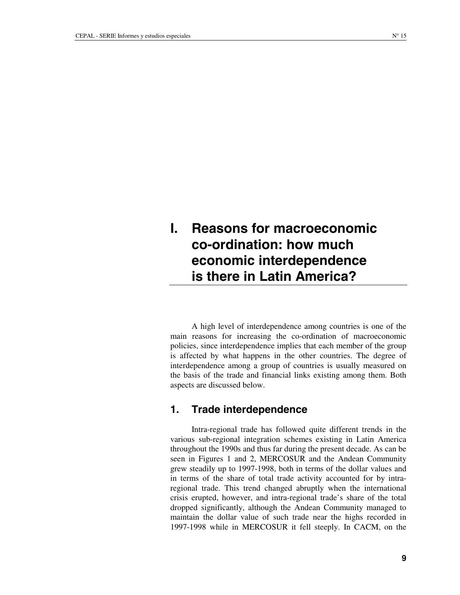# **I. Reasons for macroeconomic co-ordination: how much economic interdependence is there in Latin America?**

A high level of interdependence among countries is one of the main reasons for increasing the co-ordination of macroeconomic policies, since interdependence implies that each member of the group is affected by what happens in the other countries. The degree of interdependence among a group of countries is usually measured on the basis of the trade and financial links existing among them. Both aspects are discussed below.

## **1. Trade interdependence**

Intra-regional trade has followed quite different trends in the various sub-regional integration schemes existing in Latin America throughout the 1990s and thus far during the present decade. As can be seen in Figures 1 and 2, MERCOSUR and the Andean Community grew steadily up to 1997-1998, both in terms of the dollar values and in terms of the share of total trade activity accounted for by intraregional trade. This trend changed abruptly when the international crisis erupted, however, and intra-regional trade's share of the total dropped significantly, although the Andean Community managed to maintain the dollar value of such trade near the highs recorded in 1997-1998 while in MERCOSUR it fell steeply. In CACM, on the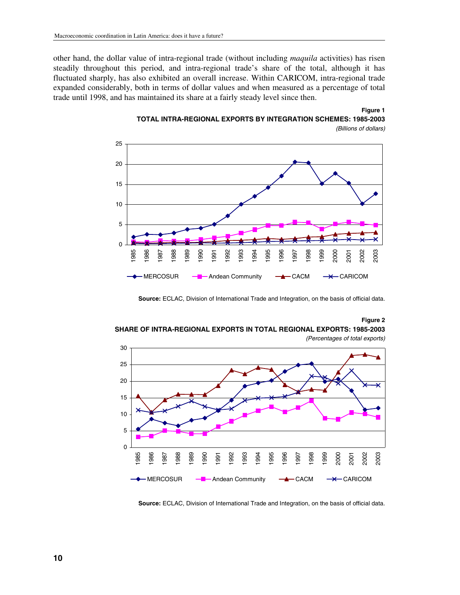other hand, the dollar value of intra-regional trade (without including *maquila* activities) has risen steadily throughout this period, and intra-regional trade's share of the total, although it has fluctuated sharply, has also exhibited an overall increase. Within CARICOM, intra-regional trade expanded considerably, both in terms of dollar values and when measured as a percentage of total trade until 1998, and has maintained its share at a fairly steady level since then.

#### **Figure 1**





**Source:** ECLAC, Division of International Trade and Integration, on the basis of official data.

#### **Figure 2**

**SHARE OF INTRA-REGIONAL EXPORTS IN TOTAL REGIONAL EXPORTS: 1985-2003**  (Percentages of total exports)



**Source:** ECLAC, Division of International Trade and Integration, on the basis of official data.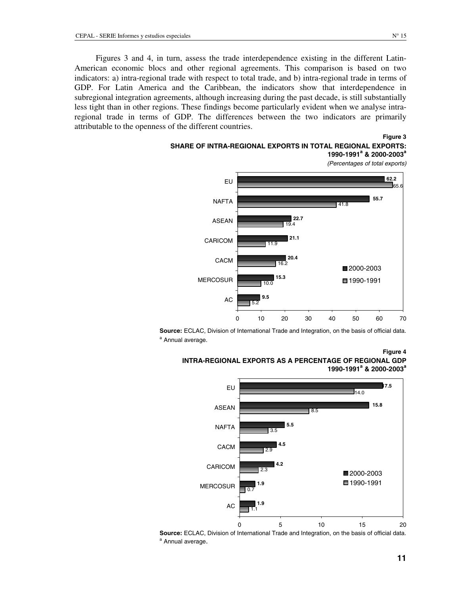Figures 3 and 4, in turn, assess the trade interdependence existing in the different Latin-American economic blocs and other regional agreements. This comparison is based on two indicators: a) intra-regional trade with respect to total trade, and b) intra-regional trade in terms of GDP. For Latin America and the Caribbean, the indicators show that interdependence in subregional integration agreements, although increasing during the past decade, is still substantially less tight than in other regions. These findings become particularly evident when we analyse intraregional trade in terms of GDP. The differences between the two indicators are primarily attributable to the openness of the different countries.

#### **Figure 3**

## **SHARE OF INTRA-REGIONAL EXPORTS IN TOTAL REGIONAL EXPORTS:**

**1990-1991<sup>a</sup> & 2000-2003<sup>a</sup>**

(Percentages of total exports)



**Source:** ECLAC, Division of International Trade and Integration, on the basis of official data. <sup>a</sup> Annual average.

#### **Figure 4**





**Source:** ECLAC, Division of International Trade and Integration, on the basis of official data. a <sup>a</sup> Annual average.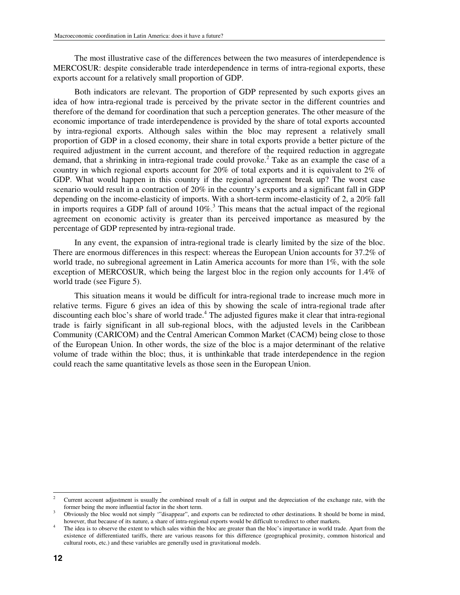The most illustrative case of the differences between the two measures of interdependence is MERCOSUR: despite considerable trade interdependence in terms of intra-regional exports, these exports account for a relatively small proportion of GDP.

Both indicators are relevant. The proportion of GDP represented by such exports gives an idea of how intra-regional trade is perceived by the private sector in the different countries and therefore of the demand for coordination that such a perception generates. The other measure of the economic importance of trade interdependence is provided by the share of total exports accounted by intra-regional exports. Although sales within the bloc may represent a relatively small proportion of GDP in a closed economy, their share in total exports provide a better picture of the required adjustment in the current account, and therefore of the required reduction in aggregate demand, that a shrinking in intra-regional trade could provoke.<sup>2</sup> Take as an example the case of a country in which regional exports account for 20% of total exports and it is equivalent to 2% of GDP. What would happen in this country if the regional agreement break up? The worst case scenario would result in a contraction of 20% in the country's exports and a significant fall in GDP depending on the income-elasticity of imports. With a short-term income-elasticity of 2, a 20% fall in imports requires a GDP fall of around  $10\%$ <sup>3</sup>. This means that the actual impact of the regional agreement on economic activity is greater than its perceived importance as measured by the percentage of GDP represented by intra-regional trade.

In any event, the expansion of intra-regional trade is clearly limited by the size of the bloc. There are enormous differences in this respect: whereas the European Union accounts for 37.2% of world trade, no subregional agreement in Latin America accounts for more than 1%, with the sole exception of MERCOSUR, which being the largest bloc in the region only accounts for 1.4% of world trade (see Figure 5).

This situation means it would be difficult for intra-regional trade to increase much more in relative terms. Figure 6 gives an idea of this by showing the scale of intra-regional trade after discounting each bloc's share of world trade.<sup>4</sup> The adjusted figures make it clear that intra-regional trade is fairly significant in all sub-regional blocs, with the adjusted levels in the Caribbean Community (CARICOM) and the Central American Common Market (CACM) being close to those of the European Union. In other words, the size of the bloc is a major determinant of the relative volume of trade within the bloc; thus, it is unthinkable that trade interdependence in the region could reach the same quantitative levels as those seen in the European Union.

 $\ddot{\phantom{a}}$ 

<sup>2</sup> Current account adjustment is usually the combined result of a fall in output and the depreciation of the exchange rate, with the former being the more influential factor in the short term.<br>Obviously the bloc would not simply "disappear", and exports can be redirected to other destinations. It should be borne in mind,

however, that because of its nature, a share of intra-regional exports would be difficult to redirect to other markets. 4

The idea is to observe the extent to which sales within the bloc are greater than the bloc's importance in world trade. Apart from the existence of differentiated tariffs, there are various reasons for this difference (geographical proximity, common historical and cultural roots, etc.) and these variables are generally used in gravitational models.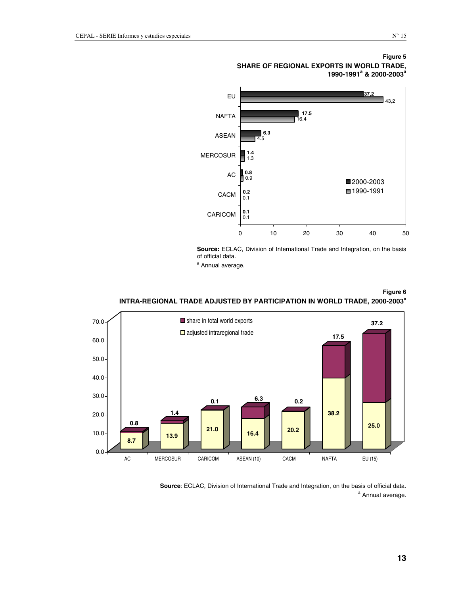#### **Figure 5 SHARE OF REGIONAL EXPORTS IN WORLD TRADE, 1990-1991<sup>a</sup> & 2000-2003<sup>a</sup>**



**Source:** ECLAC, Division of International Trade and Integration, on the basis of official data.

<sup>a</sup> Annual average.





**Source**: ECLAC, Division of International Trade and Integration, on the basis of official data. <sup>a</sup> Annual average.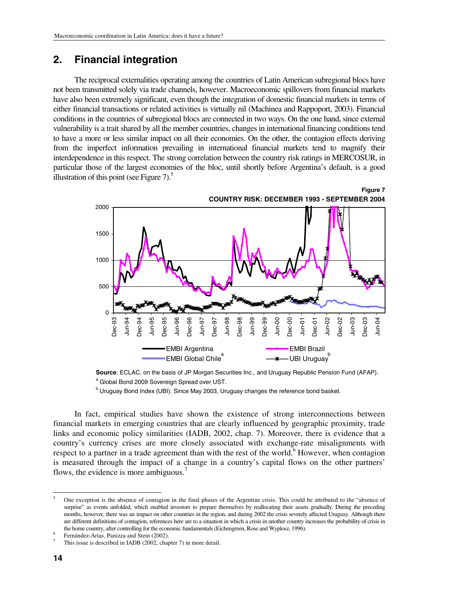# **2. Financial integration**

The reciprocal externalities operating among the countries of Latin American subregional blocs have not been transmitted solely via trade channels, however. Macroeconomic spillovers from financial markets have also been extremely significant, even though the integration of domestic financial markets in terms of either financial transactions or related activities is virtually nil (Machinea and Rappoport, 2003). Financial conditions in the countries of subregional blocs are connected in two ways. On the one hand, since external vulnerability is a trait shared by all the member countries, changes in international financing conditions tend to have a more or less similar impact on all their economies. On the other, the contagion effects deriving from the imperfect information prevailing in international financial markets tend to magnify their interdependence in this respect. The strong correlation between the country risk ratings in MERCOSUR, in particular those of the largest economies of the bloc, until shortly before Argentina's default, is a good illustration of this point (see Figure 7). $<sup>5</sup>$ </sup>



**Source**: ECLAC, on the basis of JP Morgan Securities Inc., and Uruguay Republic Pension Fund (AFAP). <sup>a</sup> Global Bond 2009 Sovereign Spread over UST.

<sup>b</sup> Uruguay Bond Index (UBI). Since May 2003, Uruguay changes the reference bond basket.

In fact, empirical studies have shown the existence of strong interconnections between financial markets in emerging countries that are clearly influenced by geographic proximity, trade links and economic policy similarities (IADB, 2002, chap. 7). Moreover, there is evidence that a country's currency crises are more closely associated with exchange-rate misalignments with respect to a partner in a trade agreement than with the rest of the world. <sup>6</sup> However, when contagion is measured through the impact of a change in a country's capital flows on the other partners' flows, the evidence is more ambiguous.<sup>7</sup>

 $\ddot{\phantom{a}}$ 

<sup>5</sup> One exception is the absence of contagion in the final phases of the Argentine crisis. This could be attributed to the "absence of surprise" as events unfolded, which enabled investors to prepare themselves by reallocating their assets gradually. During the preceding months, however, there was an impact on other countries in the region, and during 2002 the crisis severely affected Uruguay. Although there are different definitions of contagion, references here are to a situation in which a crisis in another country increases the probability of crisis in the home country, after controlling for the economic fundamentals (Eichengreen, Rose and Wyplosz, 1996).

Fernández-Arias, Panizza and Stein (2002).

<sup>7</sup> This issue is described in IADB (2002, chapter 7) in more detail.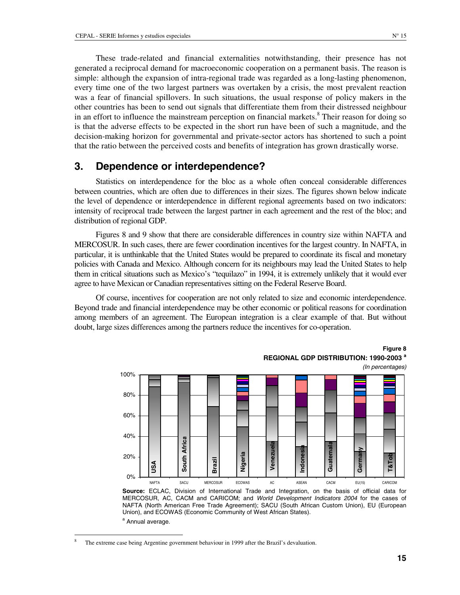These trade-related and financial externalities notwithstanding, their presence has not generated a reciprocal demand for macroeconomic cooperation on a permanent basis. The reason is simple: although the expansion of intra-regional trade was regarded as a long-lasting phenomenon, every time one of the two largest partners was overtaken by a crisis, the most prevalent reaction was a fear of financial spillovers. In such situations, the usual response of policy makers in the other countries has been to send out signals that differentiate them from their distressed neighbour in an effort to influence the mainstream perception on financial markets.<sup>8</sup> Their reason for doing so is that the adverse effects to be expected in the short run have been of such a magnitude, and the decision-making horizon for governmental and private-sector actors has shortened to such a point that the ratio between the perceived costs and benefits of integration has grown drastically worse.

# **3. Dependence or interdependence?**

Statistics on interdependence for the bloc as a whole often conceal considerable differences between countries, which are often due to differences in their sizes. The figures shown below indicate the level of dependence or interdependence in different regional agreements based on two indicators: intensity of reciprocal trade between the largest partner in each agreement and the rest of the bloc; and distribution of regional GDP.

Figures 8 and 9 show that there are considerable differences in country size within NAFTA and MERCOSUR. In such cases, there are fewer coordination incentives for the largest country. In NAFTA, in particular, it is unthinkable that the United States would be prepared to coordinate its fiscal and monetary policies with Canada and Mexico. Although concern for its neighbours may lead the United States to help them in critical situations such as Mexico's "tequilazo" in 1994, it is extremely unlikely that it would ever agree to have Mexican or Canadian representatives sitting on the Federal Reserve Board.

Of course, incentives for cooperation are not only related to size and economic interdependence. Beyond trade and financial interdependence may be other economic or political reasons for coordination among members of an agreement. The European integration is a clear example of that. But without doubt, large sizes differences among the partners reduce the incentives for co-operation.



# **Figure 8 REGIONAL GDP DISTRIBUTION: 1990-2003 <sup>a</sup>**

NAFTA (North American Free Trade Agreement); SACU (South African Custom Union), EU (European Union), and ECOWAS (Economic Community of West African States). <sup>a</sup> Annual average.

 $\frac{1}{8}$ The extreme case being Argentine government behaviour in 1999 after the Brazil's devaluation.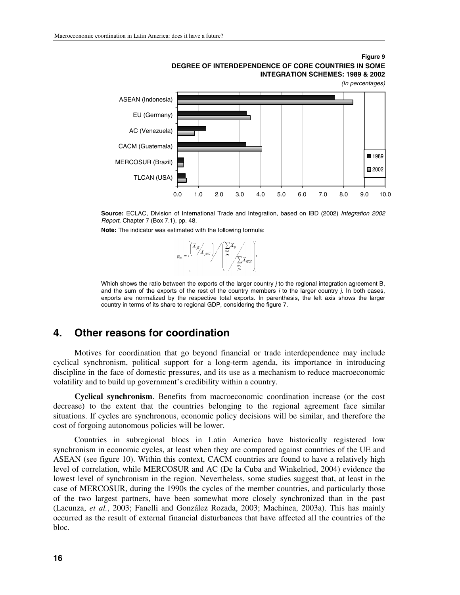

#### **Figure 9 DEGREE OF INTERDEPENDENCE OF CORE COUNTRIES IN SOME INTEGRATION SCHEMES: 1989 & 2002**

**Source:** ECLAC, Division of International Trade and Integration, based on IBD (2002) Integration 2002 Report, Chapter 7 (Box 7.1), pp. 48.

**Note:** The indicator was estimated with the following formula:



Which shows the ratio between the exports of the larger country  $j$  to the regional integration agreement B, and the sum of the exports of the rest of the country members i to the larger country j. In both cases, exports are normalized by the respective total exports. In parenthesis, the left axis shows the larger country in terms of its share to regional GDP, considering the figure 7.

## **4. Other reasons for coordination**

Motives for coordination that go beyond financial or trade interdependence may include cyclical synchronism, political support for a long-term agenda, its importance in introducing discipline in the face of domestic pressures, and its use as a mechanism to reduce macroeconomic volatility and to build up government's credibility within a country.

**Cyclical synchronism**. Benefits from macroeconomic coordination increase (or the cost decrease) to the extent that the countries belonging to the regional agreement face similar situations. If cycles are synchronous, economic policy decisions will be similar, and therefore the cost of forgoing autonomous policies will be lower.

Countries in subregional blocs in Latin America have historically registered low synchronism in economic cycles, at least when they are compared against countries of the UE and ASEAN (see figure 10). Within this context, CACM countries are found to have a relatively high level of correlation, while MERCOSUR and AC (De la Cuba and Winkelried, 2004) evidence the lowest level of synchronism in the region. Nevertheless, some studies suggest that, at least in the case of MERCOSUR, during the 1990s the cycles of the member countries, and particularly those of the two largest partners, have been somewhat more closely synchronized than in the past (Lacunza, *et al.*, 2003; Fanelli and González Rozada, 2003; Machinea, 2003a). This has mainly occurred as the result of external financial disturbances that have affected all the countries of the bloc.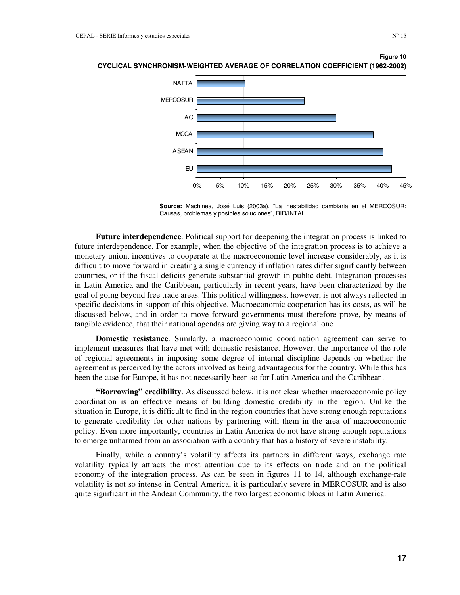

**CYCLICAL SYNCHRONISM-WEIGHTED AVERAGE OF CORRELATION COEFFICIENT (1962-2002)** 

**Source:** Machinea, José Luis (2003a), "La inestabilidad cambiaria en el MERCOSUR: Causas, problemas y posibles soluciones", BID/INTAL.

**Future interdependence**. Political support for deepening the integration process is linked to future interdependence. For example, when the objective of the integration process is to achieve a monetary union, incentives to cooperate at the macroeconomic level increase considerably, as it is difficult to move forward in creating a single currency if inflation rates differ significantly between countries, or if the fiscal deficits generate substantial growth in public debt. Integration processes in Latin America and the Caribbean, particularly in recent years, have been characterized by the goal of going beyond free trade areas. This political willingness, however, is not always reflected in specific decisions in support of this objective. Macroeconomic cooperation has its costs, as will be discussed below, and in order to move forward governments must therefore prove, by means of tangible evidence, that their national agendas are giving way to a regional one

**Domestic resistance**. Similarly, a macroeconomic coordination agreement can serve to implement measures that have met with domestic resistance. However, the importance of the role of regional agreements in imposing some degree of internal discipline depends on whether the agreement is perceived by the actors involved as being advantageous for the country. While this has been the case for Europe, it has not necessarily been so for Latin America and the Caribbean.

**"Borrowing" credibility**. As discussed below, it is not clear whether macroeconomic policy coordination is an effective means of building domestic credibility in the region. Unlike the situation in Europe, it is difficult to find in the region countries that have strong enough reputations to generate credibility for other nations by partnering with them in the area of macroeconomic policy. Even more importantly, countries in Latin America do not have strong enough reputations to emerge unharmed from an association with a country that has a history of severe instability.

Finally, while a country's volatility affects its partners in different ways, exchange rate volatility typically attracts the most attention due to its effects on trade and on the political economy of the integration process. As can be seen in figures 11 to 14, although exchange-rate volatility is not so intense in Central America, it is particularly severe in MERCOSUR and is also quite significant in the Andean Community, the two largest economic blocs in Latin America.

**Figure 10**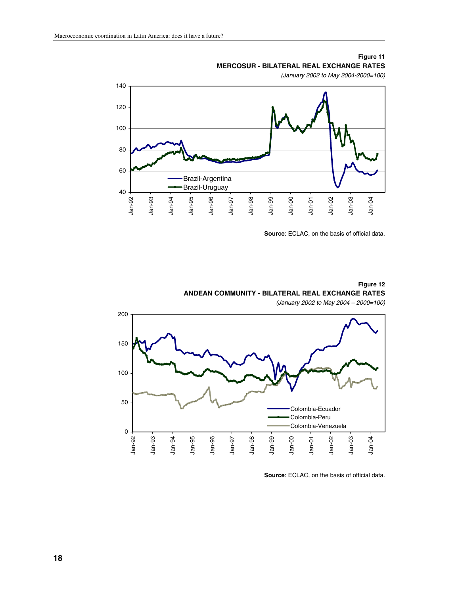#### **Figure 11 MERCOSUR - BILATERAL REAL EXCHANGE RATES**

(January 2002 to May 2004-2000=100)



**Source**: ECLAC, on the basis of official data.

**Figure 12 ANDEAN COMMUNITY - BILATERAL REAL EXCHANGE RATES** 



**Source**: ECLAC, on the basis of official data.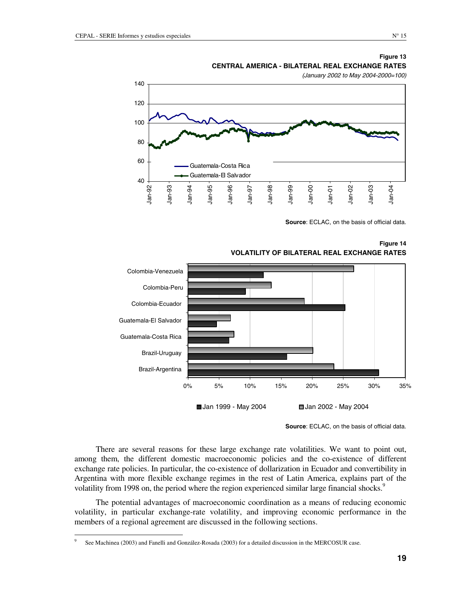## **Figure 13**

**CENTRAL AMERICA - BILATERAL REAL EXCHANGE RATES** 

(January 2002 to May 2004-2000=100)



**Source**: ECLAC, on the basis of official data.

**Figure 14 VOLATILITY OF BILATERAL REAL EXCHANGE RATES** 



**Source**: ECLAC, on the basis of official data.

There are several reasons for these large exchange rate volatilities. We want to point out, among them, the different domestic macroeconomic policies and the co-existence of different exchange rate policies. In particular, the co-existence of dollarization in Ecuador and convertibility in Argentina with more flexible exchange regimes in the rest of Latin America, explains part of the volatility from 1998 on, the period where the region experienced similar large financial shocks.<sup>9</sup>

The potential advantages of macroeconomic coordination as a means of reducing economic volatility, in particular exchange-rate volatility, and improving economic performance in the members of a regional agreement are discussed in the following sections.

<sup>-&</sup>lt;br>9 See Machinea (2003) and Fanelli and González-Rosada (2003) for a detailed discussion in the MERCOSUR case.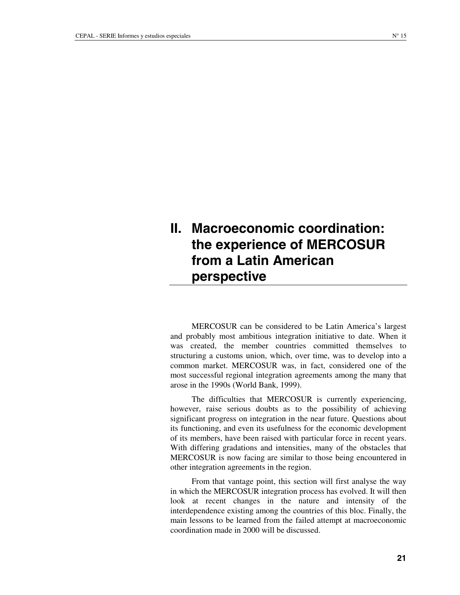# **II. Macroeconomic coordination: the experience of MERCOSUR from a Latin American perspective**

MERCOSUR can be considered to be Latin America's largest and probably most ambitious integration initiative to date. When it was created, the member countries committed themselves to structuring a customs union, which, over time, was to develop into a common market. MERCOSUR was, in fact, considered one of the most successful regional integration agreements among the many that arose in the 1990s (World Bank, 1999).

The difficulties that MERCOSUR is currently experiencing, however, raise serious doubts as to the possibility of achieving significant progress on integration in the near future. Questions about its functioning, and even its usefulness for the economic development of its members, have been raised with particular force in recent years. With differing gradations and intensities, many of the obstacles that MERCOSUR is now facing are similar to those being encountered in other integration agreements in the region.

From that vantage point, this section will first analyse the way in which the MERCOSUR integration process has evolved. It will then look at recent changes in the nature and intensity of the interdependence existing among the countries of this bloc. Finally, the main lessons to be learned from the failed attempt at macroeconomic coordination made in 2000 will be discussed.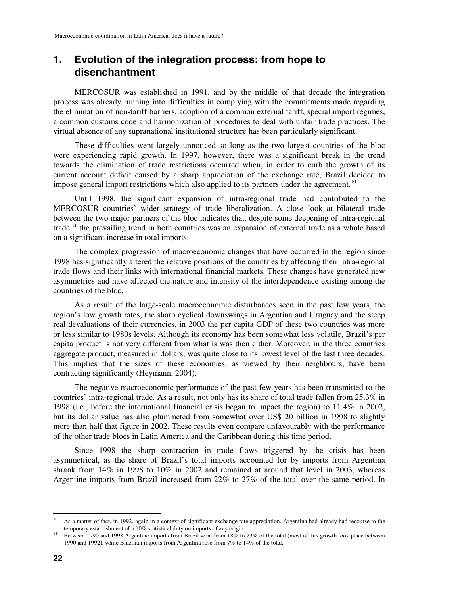# **1. Evolution of the integration process: from hope to disenchantment**

MERCOSUR was established in 1991, and by the middle of that decade the integration process was already running into difficulties in complying with the commitments made regarding the elimination of non-tariff barriers, adoption of a common external tariff, special import regimes, a common customs code and harmonization of procedures to deal with unfair trade practices. The virtual absence of any supranational institutional structure has been particularly significant.

These difficulties went largely unnoticed so long as the two largest countries of the bloc were experiencing rapid growth. In 1997, however, there was a significant break in the trend towards the elimination of trade restrictions occurred when, in order to curb the growth of its current account deficit caused by a sharp appreciation of the exchange rate, Brazil decided to impose general import restrictions which also applied to its partners under the agreement.<sup>10</sup>

Until 1998, the significant expansion of intra-regional trade had contributed to the MERCOSUR countries' wider strategy of trade liberalization. A close look at bilateral trade between the two major partners of the bloc indicates that, despite some deepening of intra-regional trade,<sup>11</sup> the prevailing trend in both countries was an expansion of external trade as a whole based on a significant increase in total imports.

The complex progression of macroeconomic changes that have occurred in the region since 1998 has significantly altered the relative positions of the countries by affecting their intra-regional trade flows and their links with international financial markets. These changes have generated new asymmetries and have affected the nature and intensity of the interdependence existing among the countries of the bloc.

As a result of the large-scale macroeconomic disturbances seen in the past few years, the region's low growth rates, the sharp cyclical downswings in Argentina and Uruguay and the steep real devaluations of their currencies, in 2003 the per capita GDP of these two countries was more or less similar to 1980s levels. Although its economy has been somewhat less volatile, Brazil's per capita product is not very different from what is was then either. Moreover, in the three countries aggregate product, measured in dollars, was quite close to its lowest level of the last three decades. This implies that the sizes of these economies, as viewed by their neighbours, have been contracting significantly (Heymann, 2004).

The negative macroeconomic performance of the past few years has been transmitted to the countries' intra-regional trade. As a result, not only has its share of total trade fallen from 25.3% in 1998 (i.e., before the international financial crisis began to impact the region) to 11.4% in 2002, but its dollar value has also plummeted from somewhat over US\$ 20 billion in 1998 to slightly more than half that figure in 2002. These results even compare unfavourably with the performance of the other trade blocs in Latin America and the Caribbean during this time period.

Since 1998 the sharp contraction in trade flows triggered by the crisis has been asymmetrical, as the share of Brazil's total imports accounted for by imports from Argentina shrank from 14% in 1998 to 10% in 2002 and remained at around that level in 2003, whereas Argentine imports from Brazil increased from 22% to 27% of the total over the same period. In

 $\ddot{\phantom{a}}$ 

As a matter of fact, in 1992, again in a context of significant exchange rate appreciation, Argentina had already had recourse to the temporary establishment of a 10% statistical duty on imports of any origin.

Between 1990 and 1998 Argentine imports from Brazil went from 18% to 23% of the total (most of this growth took place between 1990 and 1992), while Brazilian imports from Argentina rose from 7% to 14% of the total.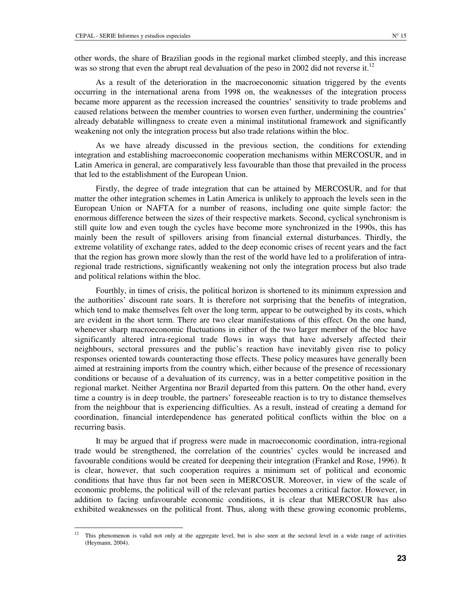other words, the share of Brazilian goods in the regional market climbed steeply, and this increase was so strong that even the abrupt real devaluation of the peso in 2002 did not reverse it.<sup>12</sup>

As a result of the deterioration in the macroeconomic situation triggered by the events occurring in the international arena from 1998 on, the weaknesses of the integration process became more apparent as the recession increased the countries' sensitivity to trade problems and caused relations between the member countries to worsen even further, undermining the countries' already debatable willingness to create even a minimal institutional framework and significantly weakening not only the integration process but also trade relations within the bloc.

As we have already discussed in the previous section, the conditions for extending integration and establishing macroeconomic cooperation mechanisms within MERCOSUR, and in Latin America in general, are comparatively less favourable than those that prevailed in the process that led to the establishment of the European Union.

Firstly, the degree of trade integration that can be attained by MERCOSUR, and for that matter the other integration schemes in Latin America is unlikely to approach the levels seen in the European Union or NAFTA for a number of reasons, including one quite simple factor: the enormous difference between the sizes of their respective markets. Second, cyclical synchronism is still quite low and even tough the cycles have become more synchronized in the 1990s, this has mainly been the result of spillovers arising from financial external disturbances. Thirdly, the extreme volatility of exchange rates, added to the deep economic crises of recent years and the fact that the region has grown more slowly than the rest of the world have led to a proliferation of intraregional trade restrictions, significantly weakening not only the integration process but also trade and political relations within the bloc.

Fourthly, in times of crisis, the political horizon is shortened to its minimum expression and the authorities' discount rate soars. It is therefore not surprising that the benefits of integration, which tend to make themselves felt over the long term, appear to be outweighed by its costs, which are evident in the short term. There are two clear manifestations of this effect. On the one hand, whenever sharp macroeconomic fluctuations in either of the two larger member of the bloc have significantly altered intra-regional trade flows in ways that have adversely affected their neighbours, sectoral pressures and the public's reaction have inevitably given rise to policy responses oriented towards counteracting those effects. These policy measures have generally been aimed at restraining imports from the country which, either because of the presence of recessionary conditions or because of a devaluation of its currency, was in a better competitive position in the regional market. Neither Argentina nor Brazil departed from this pattern. On the other hand, every time a country is in deep trouble, the partners' foreseeable reaction is to try to distance themselves from the neighbour that is experiencing difficulties. As a result, instead of creating a demand for coordination, financial interdependence has generated political conflicts within the bloc on a recurring basis.

It may be argued that if progress were made in macroeconomic coordination, intra-regional trade would be strengthened, the correlation of the countries' cycles would be increased and favourable conditions would be created for deepening their integration (Frankel and Rose, 1996). It is clear, however, that such cooperation requires a minimum set of political and economic conditions that have thus far not been seen in MERCOSUR. Moreover, in view of the scale of economic problems, the political will of the relevant parties becomes a critical factor. However, in addition to facing unfavourable economic conditions, it is clear that MERCOSUR has also exhibited weaknesses on the political front. Thus, along with these growing economic problems,

 $12\,$ 12 This phenomenon is valid not only at the aggregate level, but is also seen at the sectoral level in a wide range of activities (Heymann, 2004).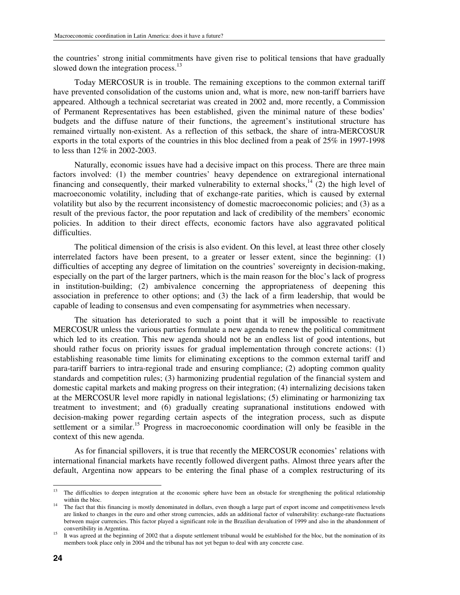the countries' strong initial commitments have given rise to political tensions that have gradually slowed down the integration process.<sup>13</sup>

Today MERCOSUR is in trouble. The remaining exceptions to the common external tariff have prevented consolidation of the customs union and, what is more, new non-tariff barriers have appeared. Although a technical secretariat was created in 2002 and, more recently, a Commission of Permanent Representatives has been established, given the minimal nature of these bodies' budgets and the diffuse nature of their functions, the agreement's institutional structure has remained virtually non-existent. As a reflection of this setback, the share of intra-MERCOSUR exports in the total exports of the countries in this bloc declined from a peak of 25% in 1997-1998 to less than 12% in 2002-2003.

Naturally, economic issues have had a decisive impact on this process. There are three main factors involved: (1) the member countries' heavy dependence on extraregional international financing and consequently, their marked vulnerability to external shocks,<sup>14</sup> (2) the high level of macroeconomic volatility, including that of exchange-rate parities, which is caused by external volatility but also by the recurrent inconsistency of domestic macroeconomic policies; and (3) as a result of the previous factor, the poor reputation and lack of credibility of the members' economic policies. In addition to their direct effects, economic factors have also aggravated political difficulties.

The political dimension of the crisis is also evident. On this level, at least three other closely interrelated factors have been present, to a greater or lesser extent, since the beginning: (1) difficulties of accepting any degree of limitation on the countries' sovereignty in decision-making, especially on the part of the larger partners, which is the main reason for the bloc's lack of progress in institution-building; (2) ambivalence concerning the appropriateness of deepening this association in preference to other options; and (3) the lack of a firm leadership, that would be capable of leading to consensus and even compensating for asymmetries when necessary.

The situation has deteriorated to such a point that it will be impossible to reactivate MERCOSUR unless the various parties formulate a new agenda to renew the political commitment which led to its creation. This new agenda should not be an endless list of good intentions, but should rather focus on priority issues for gradual implementation through concrete actions: (1) establishing reasonable time limits for eliminating exceptions to the common external tariff and para-tariff barriers to intra-regional trade and ensuring compliance; (2) adopting common quality standards and competition rules; (3) harmonizing prudential regulation of the financial system and domestic capital markets and making progress on their integration; (4) internalizing decisions taken at the MERCOSUR level more rapidly in national legislations; (5) eliminating or harmonizing tax treatment to investment; and (6) gradually creating supranational institutions endowed with decision-making power regarding certain aspects of the integration process, such as dispute settlement or a similar.<sup>15</sup> Progress in macroeconomic coordination will only be feasible in the context of this new agenda.

As for financial spillovers, it is true that recently the MERCOSUR economies' relations with international financial markets have recently followed divergent paths. Almost three years after the default, Argentina now appears to be entering the final phase of a complex restructuring of its

 $\ddot{\phantom{a}}$ 

<sup>&</sup>lt;sup>13</sup> The difficulties to deepen integration at the economic sphere have been an obstacle for strengthening the political relationship within the bloc.<br><sup>14</sup> The fact that this financing is mostly denominated in dollars, even though a large part of export income and competitiveness levels

are linked to changes in the euro and other strong currencies, adds an additional factor of vulnerability: exchange-rate fluctuations between major currencies. This factor played a significant role in the Brazilian devaluation of 1999 and also in the abandonment of

It was agreed at the beginning of 2002 that a dispute settlement tribunal would be established for the bloc, but the nomination of its members took place only in 2004 and the tribunal has not yet begun to deal with any concrete case.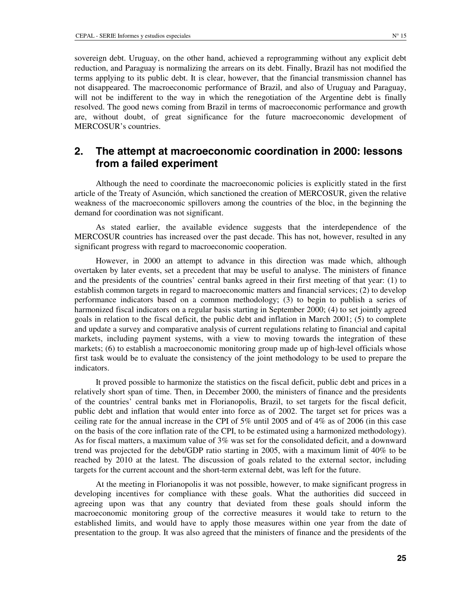sovereign debt. Uruguay, on the other hand, achieved a reprogramming without any explicit debt reduction, and Paraguay is normalizing the arrears on its debt. Finally, Brazil has not modified the terms applying to its public debt. It is clear, however, that the financial transmission channel has not disappeared. The macroeconomic performance of Brazil, and also of Uruguay and Paraguay, will not be indifferent to the way in which the renegotiation of the Argentine debt is finally resolved. The good news coming from Brazil in terms of macroeconomic performance and growth are, without doubt, of great significance for the future macroeconomic development of MERCOSUR's countries.

## **2. The attempt at macroeconomic coordination in 2000: lessons from a failed experiment**

Although the need to coordinate the macroeconomic policies is explicitly stated in the first article of the Treaty of Asunción, which sanctioned the creation of MERCOSUR, given the relative weakness of the macroeconomic spillovers among the countries of the bloc, in the beginning the demand for coordination was not significant.

As stated earlier, the available evidence suggests that the interdependence of the MERCOSUR countries has increased over the past decade. This has not, however, resulted in any significant progress with regard to macroeconomic cooperation.

However, in 2000 an attempt to advance in this direction was made which, although overtaken by later events, set a precedent that may be useful to analyse. The ministers of finance and the presidents of the countries' central banks agreed in their first meeting of that year: (1) to establish common targets in regard to macroeconomic matters and financial services; (2) to develop performance indicators based on a common methodology; (3) to begin to publish a series of harmonized fiscal indicators on a regular basis starting in September 2000; (4) to set jointly agreed goals in relation to the fiscal deficit, the public debt and inflation in March 2001; (5) to complete and update a survey and comparative analysis of current regulations relating to financial and capital markets, including payment systems, with a view to moving towards the integration of these markets; (6) to establish a macroeconomic monitoring group made up of high-level officials whose first task would be to evaluate the consistency of the joint methodology to be used to prepare the indicators.

It proved possible to harmonize the statistics on the fiscal deficit, public debt and prices in a relatively short span of time. Then, in December 2000, the ministers of finance and the presidents of the countries' central banks met in Florianopolis, Brazil, to set targets for the fiscal deficit, public debt and inflation that would enter into force as of 2002. The target set for prices was a ceiling rate for the annual increase in the CPI of 5% until 2005 and of 4% as of 2006 (in this case on the basis of the core inflation rate of the CPI, to be estimated using a harmonized methodology). As for fiscal matters, a maximum value of 3% was set for the consolidated deficit, and a downward trend was projected for the debt/GDP ratio starting in 2005, with a maximum limit of 40% to be reached by 2010 at the latest. The discussion of goals related to the external sector, including targets for the current account and the short-term external debt, was left for the future.

At the meeting in Florianopolis it was not possible, however, to make significant progress in developing incentives for compliance with these goals. What the authorities did succeed in agreeing upon was that any country that deviated from these goals should inform the macroeconomic monitoring group of the corrective measures it would take to return to the established limits, and would have to apply those measures within one year from the date of presentation to the group. It was also agreed that the ministers of finance and the presidents of the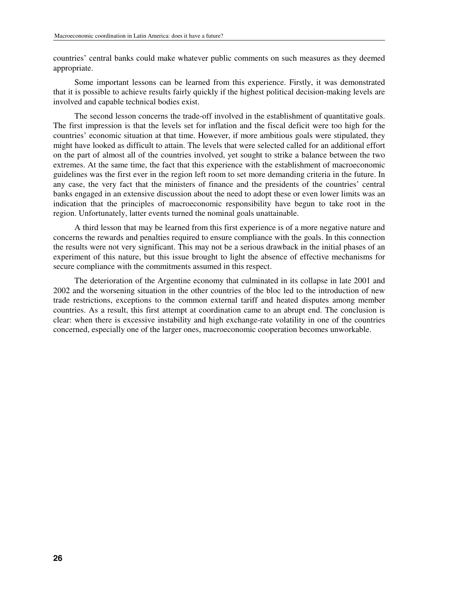countries' central banks could make whatever public comments on such measures as they deemed appropriate.

Some important lessons can be learned from this experience. Firstly, it was demonstrated that it is possible to achieve results fairly quickly if the highest political decision-making levels are involved and capable technical bodies exist.

The second lesson concerns the trade-off involved in the establishment of quantitative goals. The first impression is that the levels set for inflation and the fiscal deficit were too high for the countries' economic situation at that time. However, if more ambitious goals were stipulated, they might have looked as difficult to attain. The levels that were selected called for an additional effort on the part of almost all of the countries involved, yet sought to strike a balance between the two extremes. At the same time, the fact that this experience with the establishment of macroeconomic guidelines was the first ever in the region left room to set more demanding criteria in the future. In any case, the very fact that the ministers of finance and the presidents of the countries' central banks engaged in an extensive discussion about the need to adopt these or even lower limits was an indication that the principles of macroeconomic responsibility have begun to take root in the region. Unfortunately, latter events turned the nominal goals unattainable.

A third lesson that may be learned from this first experience is of a more negative nature and concerns the rewards and penalties required to ensure compliance with the goals. In this connection the results were not very significant. This may not be a serious drawback in the initial phases of an experiment of this nature, but this issue brought to light the absence of effective mechanisms for secure compliance with the commitments assumed in this respect.

The deterioration of the Argentine economy that culminated in its collapse in late 2001 and 2002 and the worsening situation in the other countries of the bloc led to the introduction of new trade restrictions, exceptions to the common external tariff and heated disputes among member countries. As a result, this first attempt at coordination came to an abrupt end. The conclusion is clear: when there is excessive instability and high exchange-rate volatility in one of the countries concerned, especially one of the larger ones, macroeconomic cooperation becomes unworkable.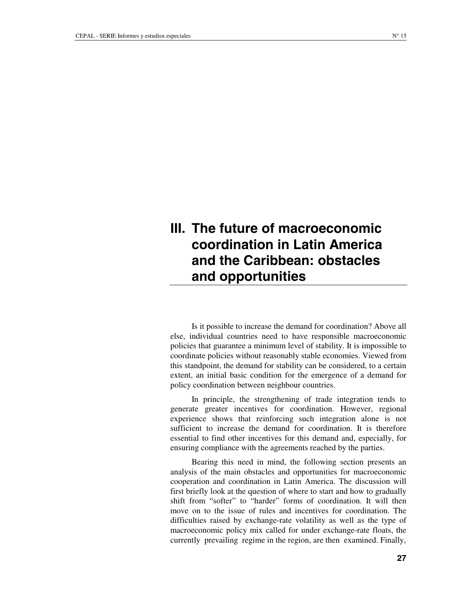# **III. The future of macroeconomic coordination in Latin America and the Caribbean: obstacles and opportunities**

Is it possible to increase the demand for coordination? Above all else, individual countries need to have responsible macroeconomic policies that guarantee a minimum level of stability. It is impossible to coordinate policies without reasonably stable economies. Viewed from this standpoint, the demand for stability can be considered, to a certain extent, an initial basic condition for the emergence of a demand for policy coordination between neighbour countries.

In principle, the strengthening of trade integration tends to generate greater incentives for coordination. However, regional experience shows that reinforcing such integration alone is not sufficient to increase the demand for coordination. It is therefore essential to find other incentives for this demand and, especially, for ensuring compliance with the agreements reached by the parties.

Bearing this need in mind, the following section presents an analysis of the main obstacles and opportunities for macroeconomic cooperation and coordination in Latin America. The discussion will first briefly look at the question of where to start and how to gradually shift from "softer" to "harder" forms of coordination. It will then move on to the issue of rules and incentives for coordination. The difficulties raised by exchange-rate volatility as well as the type of macroeconomic policy mix called for under exchange-rate floats, the currently prevailing regime in the region, are then examined. Finally,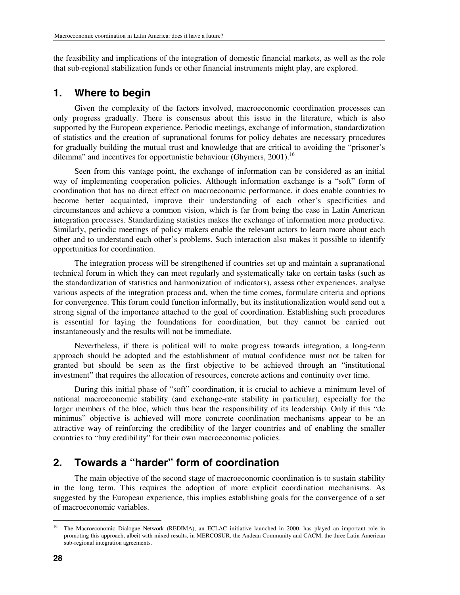the feasibility and implications of the integration of domestic financial markets, as well as the role that sub-regional stabilization funds or other financial instruments might play, are explored.

## **1. Where to begin**

Given the complexity of the factors involved, macroeconomic coordination processes can only progress gradually. There is consensus about this issue in the literature, which is also supported by the European experience. Periodic meetings, exchange of information, standardization of statistics and the creation of supranational forums for policy debates are necessary procedures for gradually building the mutual trust and knowledge that are critical to avoiding the "prisoner's dilemma" and incentives for opportunistic behaviour (Ghymers,  $2001$ ).<sup>16</sup>

Seen from this vantage point, the exchange of information can be considered as an initial way of implementing cooperation policies. Although information exchange is a "soft" form of coordination that has no direct effect on macroeconomic performance, it does enable countries to become better acquainted, improve their understanding of each other's specificities and circumstances and achieve a common vision, which is far from being the case in Latin American integration processes. Standardizing statistics makes the exchange of information more productive. Similarly, periodic meetings of policy makers enable the relevant actors to learn more about each other and to understand each other's problems. Such interaction also makes it possible to identify opportunities for coordination.

The integration process will be strengthened if countries set up and maintain a supranational technical forum in which they can meet regularly and systematically take on certain tasks (such as the standardization of statistics and harmonization of indicators), assess other experiences, analyse various aspects of the integration process and, when the time comes, formulate criteria and options for convergence. This forum could function informally, but its institutionalization would send out a strong signal of the importance attached to the goal of coordination. Establishing such procedures is essential for laying the foundations for coordination, but they cannot be carried out instantaneously and the results will not be immediate.

Nevertheless, if there is political will to make progress towards integration, a long-term approach should be adopted and the establishment of mutual confidence must not be taken for granted but should be seen as the first objective to be achieved through an "institutional investment" that requires the allocation of resources, concrete actions and continuity over time.

During this initial phase of "soft" coordination, it is crucial to achieve a minimum level of national macroeconomic stability (and exchange-rate stability in particular), especially for the larger members of the bloc, which thus bear the responsibility of its leadership. Only if this "de minimus" objective is achieved will more concrete coordination mechanisms appear to be an attractive way of reinforcing the credibility of the larger countries and of enabling the smaller countries to "buy credibility" for their own macroeconomic policies.

## **2. Towards a "harder" form of coordination**

The main objective of the second stage of macroeconomic coordination is to sustain stability in the long term. This requires the adoption of more explicit coordination mechanisms. As suggested by the European experience, this implies establishing goals for the convergence of a set of macroeconomic variables.

<sup>16</sup> 16 The Macroeconomic Dialogue Network (REDIMA), an ECLAC initiative launched in 2000, has played an important role in promoting this approach, albeit with mixed results, in MERCOSUR, the Andean Community and CACM, the three Latin American sub-regional integration agreements.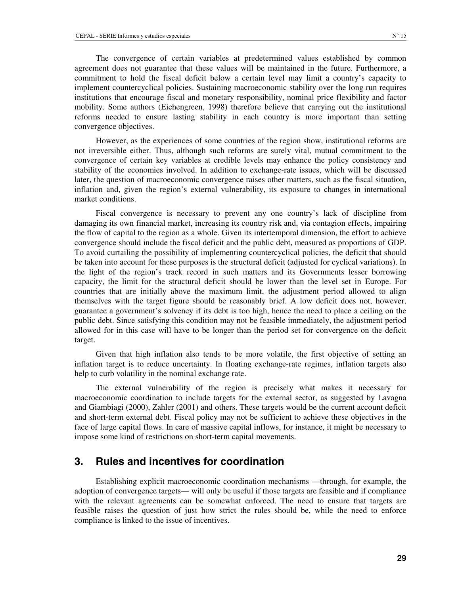The convergence of certain variables at predetermined values established by common agreement does not guarantee that these values will be maintained in the future. Furthermore, a commitment to hold the fiscal deficit below a certain level may limit a country's capacity to implement countercyclical policies. Sustaining macroeconomic stability over the long run requires institutions that encourage fiscal and monetary responsibility, nominal price flexibility and factor mobility. Some authors (Eichengreen, 1998) therefore believe that carrying out the institutional reforms needed to ensure lasting stability in each country is more important than setting convergence objectives.

However, as the experiences of some countries of the region show, institutional reforms are not irreversible either. Thus, although such reforms are surely vital, mutual commitment to the convergence of certain key variables at credible levels may enhance the policy consistency and stability of the economies involved. In addition to exchange-rate issues, which will be discussed later, the question of macroeconomic convergence raises other matters, such as the fiscal situation, inflation and, given the region's external vulnerability, its exposure to changes in international market conditions.

Fiscal convergence is necessary to prevent any one country's lack of discipline from damaging its own financial market, increasing its country risk and, via contagion effects, impairing the flow of capital to the region as a whole. Given its intertemporal dimension, the effort to achieve convergence should include the fiscal deficit and the public debt, measured as proportions of GDP. To avoid curtailing the possibility of implementing countercyclical policies, the deficit that should be taken into account for these purposes is the structural deficit (adjusted for cyclical variations). In the light of the region's track record in such matters and its Governments lesser borrowing capacity, the limit for the structural deficit should be lower than the level set in Europe. For countries that are initially above the maximum limit, the adjustment period allowed to align themselves with the target figure should be reasonably brief. A low deficit does not, however, guarantee a government's solvency if its debt is too high, hence the need to place a ceiling on the public debt. Since satisfying this condition may not be feasible immediately, the adjustment period allowed for in this case will have to be longer than the period set for convergence on the deficit target.

Given that high inflation also tends to be more volatile, the first objective of setting an inflation target is to reduce uncertainty. In floating exchange-rate regimes, inflation targets also help to curb volatility in the nominal exchange rate.

The external vulnerability of the region is precisely what makes it necessary for macroeconomic coordination to include targets for the external sector, as suggested by Lavagna and Giambiagi (2000), Zahler (2001) and others. These targets would be the current account deficit and short-term external debt. Fiscal policy may not be sufficient to achieve these objectives in the face of large capital flows. In care of massive capital inflows, for instance, it might be necessary to impose some kind of restrictions on short-term capital movements.

# **3. Rules and incentives for coordination**

Establishing explicit macroeconomic coordination mechanisms —through, for example, the adoption of convergence targets— will only be useful if those targets are feasible and if compliance with the relevant agreements can be somewhat enforced. The need to ensure that targets are feasible raises the question of just how strict the rules should be, while the need to enforce compliance is linked to the issue of incentives.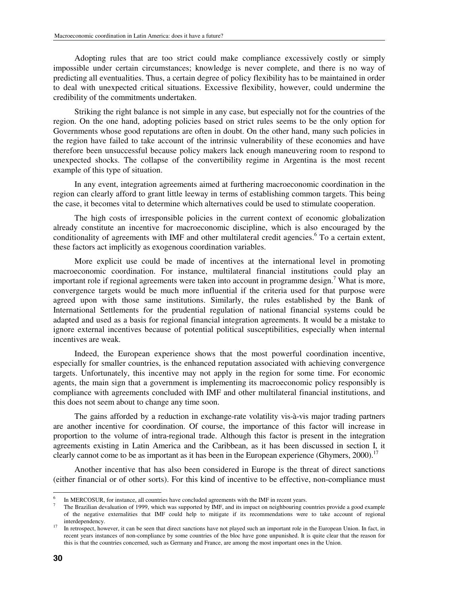Adopting rules that are too strict could make compliance excessively costly or simply impossible under certain circumstances; knowledge is never complete, and there is no way of predicting all eventualities. Thus, a certain degree of policy flexibility has to be maintained in order to deal with unexpected critical situations. Excessive flexibility, however, could undermine the credibility of the commitments undertaken.

Striking the right balance is not simple in any case, but especially not for the countries of the region. On the one hand, adopting policies based on strict rules seems to be the only option for Governments whose good reputations are often in doubt. On the other hand, many such policies in the region have failed to take account of the intrinsic vulnerability of these economies and have therefore been unsuccessful because policy makers lack enough maneuvering room to respond to unexpected shocks. The collapse of the convertibility regime in Argentina is the most recent example of this type of situation.

In any event, integration agreements aimed at furthering macroeconomic coordination in the region can clearly afford to grant little leeway in terms of establishing common targets. This being the case, it becomes vital to determine which alternatives could be used to stimulate cooperation.

The high costs of irresponsible policies in the current context of economic globalization already constitute an incentive for macroeconomic discipline, which is also encouraged by the conditionality of agreements with IMF and other multilateral credit agencies.<sup>6</sup> To a certain extent, these factors act implicitly as exogenous coordination variables.

More explicit use could be made of incentives at the international level in promoting macroeconomic coordination. For instance, multilateral financial institutions could play an important role if regional agreements were taken into account in programme design.<sup>7</sup> What is more, convergence targets would be much more influential if the criteria used for that purpose were agreed upon with those same institutions. Similarly, the rules established by the Bank of International Settlements for the prudential regulation of national financial systems could be adapted and used as a basis for regional financial integration agreements. It would be a mistake to ignore external incentives because of potential political susceptibilities, especially when internal incentives are weak.

Indeed, the European experience shows that the most powerful coordination incentive, especially for smaller countries, is the enhanced reputation associated with achieving convergence targets. Unfortunately, this incentive may not apply in the region for some time. For economic agents, the main sign that a government is implementing its macroeconomic policy responsibly is compliance with agreements concluded with IMF and other multilateral financial institutions, and this does not seem about to change any time soon.

The gains afforded by a reduction in exchange-rate volatility vis-à-vis major trading partners are another incentive for coordination. Of course, the importance of this factor will increase in proportion to the volume of intra-regional trade. Although this factor is present in the integration agreements existing in Latin America and the Caribbean, as it has been discussed in section I, it clearly cannot come to be as important as it has been in the European experience (Ghymers,  $2000$ ).<sup>17</sup>

Another incentive that has also been considered in Europe is the threat of direct sanctions (either financial or of other sorts). For this kind of incentive to be effective, non-compliance must

 $\ddot{\phantom{a}}$ 

<sup>6</sup> In MERCOSUR, for instance, all countries have concluded agreements with the IMF in recent years.

<sup>7</sup> The Brazilian devaluation of 1999, which was supported by IMF, and its impact on neighbouring countries provide a good example of the negative externalities that IMF could help to mitigate if its recommendations were to take account of regional interdependency.<br><sup>17</sup> In retrospect, however, it can be seen that direct sanctions have not played such an important role in the European Union. In fact, in

recent years instances of non-compliance by some countries of the bloc have gone unpunished. It is quite clear that the reason for this is that the countries concerned, such as Germany and France, are among the most important ones in the Union.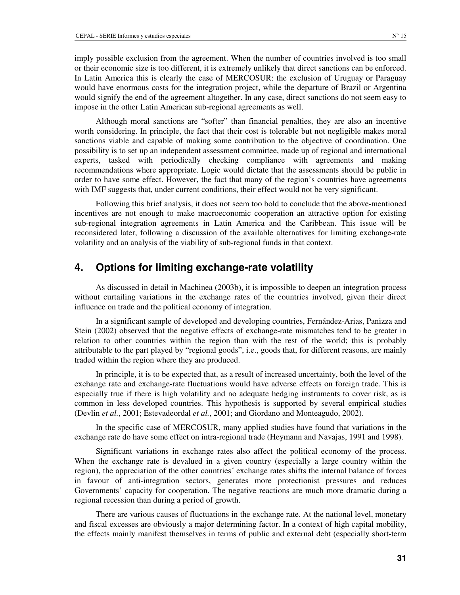imply possible exclusion from the agreement. When the number of countries involved is too small or their economic size is too different, it is extremely unlikely that direct sanctions can be enforced. In Latin America this is clearly the case of MERCOSUR: the exclusion of Uruguay or Paraguay would have enormous costs for the integration project, while the departure of Brazil or Argentina would signify the end of the agreement altogether. In any case, direct sanctions do not seem easy to impose in the other Latin American sub-regional agreements as well.

Although moral sanctions are "softer" than financial penalties, they are also an incentive worth considering. In principle, the fact that their cost is tolerable but not negligible makes moral sanctions viable and capable of making some contribution to the objective of coordination. One possibility is to set up an independent assessment committee, made up of regional and international experts, tasked with periodically checking compliance with agreements and making recommendations where appropriate. Logic would dictate that the assessments should be public in order to have some effect. However, the fact that many of the region's countries have agreements with IMF suggests that, under current conditions, their effect would not be very significant.

Following this brief analysis, it does not seem too bold to conclude that the above-mentioned incentives are not enough to make macroeconomic cooperation an attractive option for existing sub-regional integration agreements in Latin America and the Caribbean. This issue will be reconsidered later, following a discussion of the available alternatives for limiting exchange-rate volatility and an analysis of the viability of sub-regional funds in that context.

## **4. Options for limiting exchange-rate volatility**

As discussed in detail in Machinea (2003b), it is impossible to deepen an integration process without curtailing variations in the exchange rates of the countries involved, given their direct influence on trade and the political economy of integration.

In a significant sample of developed and developing countries, Fernández-Arias, Panizza and Stein (2002) observed that the negative effects of exchange-rate mismatches tend to be greater in relation to other countries within the region than with the rest of the world; this is probably attributable to the part played by "regional goods", i.e., goods that, for different reasons, are mainly traded within the region where they are produced.

In principle, it is to be expected that, as a result of increased uncertainty, both the level of the exchange rate and exchange-rate fluctuations would have adverse effects on foreign trade. This is especially true if there is high volatility and no adequate hedging instruments to cover risk, as is common in less developed countries. This hypothesis is supported by several empirical studies (Devlin *et al.*, 2001; Estevadeordal *et al.*, 2001; and Giordano and Monteagudo, 2002).

In the specific case of MERCOSUR, many applied studies have found that variations in the exchange rate do have some effect on intra-regional trade (Heymann and Navajas, 1991 and 1998).

Significant variations in exchange rates also affect the political economy of the process. When the exchange rate is devalued in a given country (especially a large country within the region), the appreciation of the other countries´ exchange rates shifts the internal balance of forces in favour of anti-integration sectors, generates more protectionist pressures and reduces Governments' capacity for cooperation. The negative reactions are much more dramatic during a regional recession than during a period of growth.

There are various causes of fluctuations in the exchange rate. At the national level, monetary and fiscal excesses are obviously a major determining factor. In a context of high capital mobility, the effects mainly manifest themselves in terms of public and external debt (especially short-term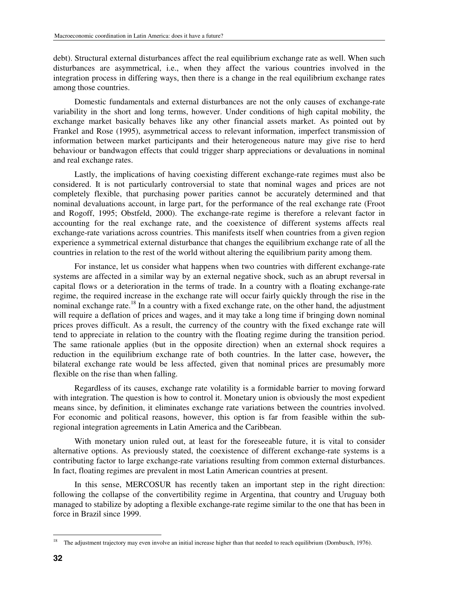debt). Structural external disturbances affect the real equilibrium exchange rate as well. When such disturbances are asymmetrical, i.e., when they affect the various countries involved in the integration process in differing ways, then there is a change in the real equilibrium exchange rates among those countries.

Domestic fundamentals and external disturbances are not the only causes of exchange-rate variability in the short and long terms, however. Under conditions of high capital mobility, the exchange market basically behaves like any other financial assets market. As pointed out by Frankel and Rose (1995), asymmetrical access to relevant information, imperfect transmission of information between market participants and their heterogeneous nature may give rise to herd behaviour or bandwagon effects that could trigger sharp appreciations or devaluations in nominal and real exchange rates.

Lastly, the implications of having coexisting different exchange-rate regimes must also be considered. It is not particularly controversial to state that nominal wages and prices are not completely flexible, that purchasing power parities cannot be accurately determined and that nominal devaluations account, in large part, for the performance of the real exchange rate (Froot and Rogoff, 1995; Obstfeld, 2000). The exchange-rate regime is therefore a relevant factor in accounting for the real exchange rate, and the coexistence of different systems affects real exchange-rate variations across countries. This manifests itself when countries from a given region experience a symmetrical external disturbance that changes the equilibrium exchange rate of all the countries in relation to the rest of the world without altering the equilibrium parity among them.

For instance, let us consider what happens when two countries with different exchange-rate systems are affected in a similar way by an external negative shock, such as an abrupt reversal in capital flows or a deterioration in the terms of trade. In a country with a floating exchange-rate regime, the required increase in the exchange rate will occur fairly quickly through the rise in the nominal exchange rate.<sup>18</sup> In a country with a fixed exchange rate, on the other hand, the adjustment will require a deflation of prices and wages, and it may take a long time if bringing down nominal prices proves difficult. As a result, the currency of the country with the fixed exchange rate will tend to appreciate in relation to the country with the floating regime during the transition period. The same rationale applies (but in the opposite direction) when an external shock requires a reduction in the equilibrium exchange rate of both countries. In the latter case, however**,** the bilateral exchange rate would be less affected, given that nominal prices are presumably more flexible on the rise than when falling.

Regardless of its causes, exchange rate volatility is a formidable barrier to moving forward with integration. The question is how to control it. Monetary union is obviously the most expedient means since, by definition, it eliminates exchange rate variations between the countries involved. For economic and political reasons, however, this option is far from feasible within the subregional integration agreements in Latin America and the Caribbean.

With monetary union ruled out, at least for the foreseeable future, it is vital to consider alternative options. As previously stated, the coexistence of different exchange-rate systems is a contributing factor to large exchange-rate variations resulting from common external disturbances. In fact, floating regimes are prevalent in most Latin American countries at present.

In this sense, MERCOSUR has recently taken an important step in the right direction: following the collapse of the convertibility regime in Argentina, that country and Uruguay both managed to stabilize by adopting a flexible exchange-rate regime similar to the one that has been in force in Brazil since 1999.

 $\overline{a}$ 

<sup>&</sup>lt;sup>18</sup> The adjustment trajectory may even involve an initial increase higher than that needed to reach equilibrium (Dornbusch, 1976).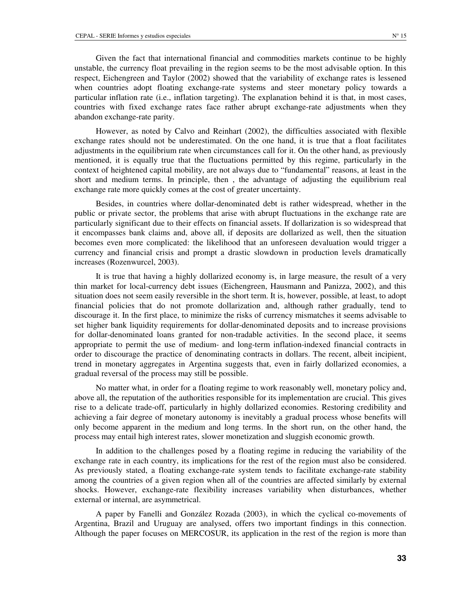Given the fact that international financial and commodities markets continue to be highly unstable, the currency float prevailing in the region seems to be the most advisable option. In this respect, Eichengreen and Taylor (2002) showed that the variability of exchange rates is lessened when countries adopt floating exchange-rate systems and steer monetary policy towards a particular inflation rate (i.e., inflation targeting). The explanation behind it is that, in most cases, countries with fixed exchange rates face rather abrupt exchange-rate adjustments when they abandon exchange-rate parity.

However, as noted by Calvo and Reinhart (2002), the difficulties associated with flexible exchange rates should not be underestimated. On the one hand, it is true that a float facilitates adjustments in the equilibrium rate when circumstances call for it. On the other hand, as previously mentioned, it is equally true that the fluctuations permitted by this regime, particularly in the context of heightened capital mobility, are not always due to "fundamental" reasons, at least in the short and medium terms. In principle, then , the advantage of adjusting the equilibrium real exchange rate more quickly comes at the cost of greater uncertainty.

Besides, in countries where dollar-denominated debt is rather widespread, whether in the public or private sector, the problems that arise with abrupt fluctuations in the exchange rate are particularly significant due to their effects on financial assets. If dollarization is so widespread that it encompasses bank claims and, above all, if deposits are dollarized as well, then the situation becomes even more complicated: the likelihood that an unforeseen devaluation would trigger a currency and financial crisis and prompt a drastic slowdown in production levels dramatically increases (Rozenwurcel, 2003).

It is true that having a highly dollarized economy is, in large measure, the result of a very thin market for local-currency debt issues (Eichengreen, Hausmann and Panizza, 2002), and this situation does not seem easily reversible in the short term. It is, however, possible, at least, to adopt financial policies that do not promote dollarization and, although rather gradually, tend to discourage it. In the first place, to minimize the risks of currency mismatches it seems advisable to set higher bank liquidity requirements for dollar-denominated deposits and to increase provisions for dollar-denominated loans granted for non-tradable activities. In the second place, it seems appropriate to permit the use of medium- and long-term inflation-indexed financial contracts in order to discourage the practice of denominating contracts in dollars. The recent, albeit incipient, trend in monetary aggregates in Argentina suggests that, even in fairly dollarized economies, a gradual reversal of the process may still be possible.

No matter what, in order for a floating regime to work reasonably well, monetary policy and, above all, the reputation of the authorities responsible for its implementation are crucial. This gives rise to a delicate trade-off, particularly in highly dollarized economies. Restoring credibility and achieving a fair degree of monetary autonomy is inevitably a gradual process whose benefits will only become apparent in the medium and long terms. In the short run, on the other hand, the process may entail high interest rates, slower monetization and sluggish economic growth.

In addition to the challenges posed by a floating regime in reducing the variability of the exchange rate in each country, its implications for the rest of the region must also be considered. As previously stated, a floating exchange-rate system tends to facilitate exchange-rate stability among the countries of a given region when all of the countries are affected similarly by external shocks. However, exchange-rate flexibility increases variability when disturbances, whether external or internal, are asymmetrical.

A paper by Fanelli and González Rozada (2003), in which the cyclical co-movements of Argentina, Brazil and Uruguay are analysed, offers two important findings in this connection. Although the paper focuses on MERCOSUR, its application in the rest of the region is more than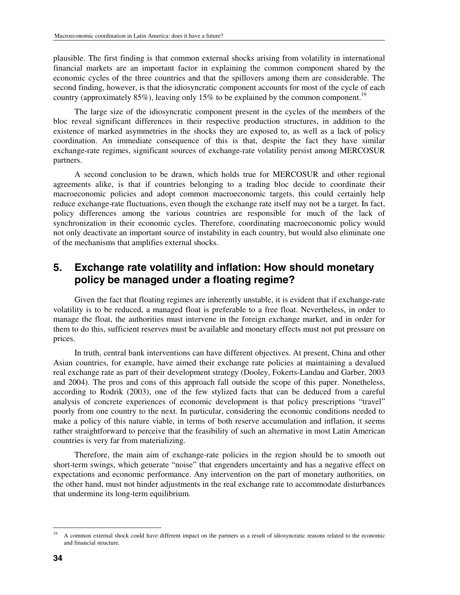plausible. The first finding is that common external shocks arising from volatility in international financial markets are an important factor in explaining the common component shared by the economic cycles of the three countries and that the spillovers among them are considerable. The second finding, however, is that the idiosyncratic component accounts for most of the cycle of each country (approximately 85%), leaving only 15% to be explained by the common component.<sup>19</sup>

The large size of the idiosyncratic component present in the cycles of the members of the bloc reveal significant differences in their respective production structures, in addition to the existence of marked asymmetries in the shocks they are exposed to, as well as a lack of policy coordination. An immediate consequence of this is that, despite the fact they have similar exchange-rate regimes, significant sources of exchange-rate volatility persist among MERCOSUR partners.

A second conclusion to be drawn, which holds true for MERCOSUR and other regional agreements alike, is that if countries belonging to a trading bloc decide to coordinate their macroeconomic policies and adopt common macroeconomic targets, this could certainly help reduce exchange-rate fluctuations, even though the exchange rate itself may not be a target. In fact, policy differences among the various countries are responsible for much of the lack of synchronization in their economic cycles. Therefore, coordinating macroeconomic policy would not only deactivate an important source of instability in each country, but would also eliminate one of the mechanisms that amplifies external shocks.

# **5. Exchange rate volatility and inflation: How should monetary policy be managed under a floating regime?**

Given the fact that floating regimes are inherently unstable, it is evident that if exchange-rate volatility is to be reduced, a managed float is preferable to a free float. Nevertheless, in order to manage the float, the authorities must intervene in the foreign exchange market, and in order for them to do this, sufficient reserves must be available and monetary effects must not put pressure on prices.

In truth, central bank interventions can have different objectives. At present, China and other Asian countries, for example, have aimed their exchange rate policies at maintaining a devalued real exchange rate as part of their development strategy (Dooley, Fokerts-Landau and Garber, 2003 and 2004). The pros and cons of this approach fall outside the scope of this paper. Nonetheless, according to Rodrik (2003), one of the few stylized facts that can be deduced from a careful analysis of concrete experiences of economic development is that policy prescriptions "travel" poorly from one country to the next. In particular, considering the economic conditions needed to make a policy of this nature viable, in terms of both reserve accumulation and inflation, it seems rather straightforward to perceive that the feasibility of such an alternative in most Latin American countries is very far from materializing.

Therefore, the main aim of exchange-rate policies in the region should be to smooth out short-term swings, which generate "noise" that engenders uncertainty and has a negative effect on expectations and economic performance. Any intervention on the part of monetary authorities, on the other hand, must not hinder adjustments in the real exchange rate to accommodate disturbances that undermine its long-term equilibrium.

<sup>19</sup> 19 A common external shock could have different impact on the partners as a result of idiosyncratic reasons related to the economic and financial structure.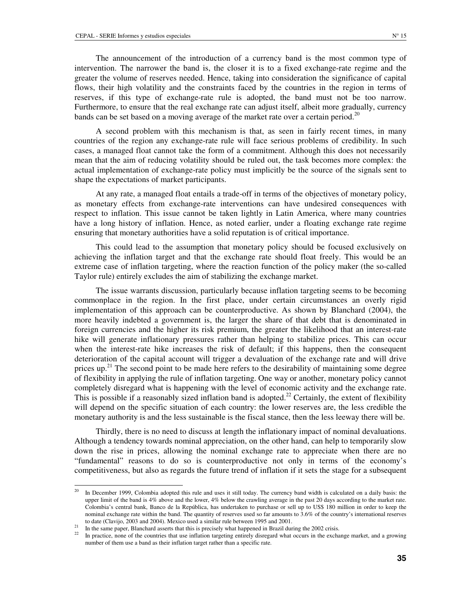The announcement of the introduction of a currency band is the most common type of intervention. The narrower the band is, the closer it is to a fixed exchange-rate regime and the greater the volume of reserves needed. Hence, taking into consideration the significance of capital flows, their high volatility and the constraints faced by the countries in the region in terms of reserves, if this type of exchange-rate rule is adopted, the band must not be too narrow. Furthermore, to ensure that the real exchange rate can adjust itself, albeit more gradually, currency bands can be set based on a moving average of the market rate over a certain period.<sup>20</sup>

A second problem with this mechanism is that, as seen in fairly recent times, in many countries of the region any exchange-rate rule will face serious problems of credibility. In such cases, a managed float cannot take the form of a commitment. Although this does not necessarily mean that the aim of reducing volatility should be ruled out, the task becomes more complex: the actual implementation of exchange-rate policy must implicitly be the source of the signals sent to shape the expectations of market participants.

At any rate, a managed float entails a trade-off in terms of the objectives of monetary policy, as monetary effects from exchange-rate interventions can have undesired consequences with respect to inflation. This issue cannot be taken lightly in Latin America, where many countries have a long history of inflation. Hence, as noted earlier, under a floating exchange rate regime ensuring that monetary authorities have a solid reputation is of critical importance.

This could lead to the assumption that monetary policy should be focused exclusively on achieving the inflation target and that the exchange rate should float freely. This would be an extreme case of inflation targeting, where the reaction function of the policy maker (the so-called Taylor rule) entirely excludes the aim of stabilizing the exchange market.

The issue warrants discussion, particularly because inflation targeting seems to be becoming commonplace in the region. In the first place, under certain circumstances an overly rigid implementation of this approach can be counterproductive. As shown by Blanchard (2004), the more heavily indebted a government is, the larger the share of that debt that is denominated in foreign currencies and the higher its risk premium, the greater the likelihood that an interest-rate hike will generate inflationary pressures rather than helping to stabilize prices. This can occur when the interest-rate hike increases the risk of default; if this happens, then the consequent deterioration of the capital account will trigger a devaluation of the exchange rate and will drive prices up.<sup>21</sup> The second point to be made here refers to the desirability of maintaining some degree of flexibility in applying the rule of inflation targeting. One way or another, monetary policy cannot completely disregard what is happening with the level of economic activity and the exchange rate. This is possible if a reasonably sized inflation band is adopted.<sup>22</sup> Certainly, the extent of flexibility will depend on the specific situation of each country: the lower reserves are, the less credible the monetary authority is and the less sustainable is the fiscal stance, then the less leeway there will be.

Thirdly, there is no need to discuss at length the inflationary impact of nominal devaluations. Although a tendency towards nominal appreciation, on the other hand, can help to temporarily slow down the rise in prices, allowing the nominal exchange rate to appreciate when there are no "fundamental" reasons to do so is counterproductive not only in terms of the economy's competitiveness, but also as regards the future trend of inflation if it sets the stage for a subsequent

 $20\,$ In December 1999, Colombia adopted this rule and uses it still today. The currency band width is calculated on a daily basis: the upper limit of the band is 4% above and the lower, 4% below the crawling average in the past 20 days according to the market rate. Colombia's central bank, Banco de la República, has undertaken to purchase or sell up to US\$ 180 million in order to keep the nominal exchange rate within the band. The quantity of reserves used so far amounts to 3.6% of the country's international reserves to date (Clavijo, 2003 and 2004). Mexico used a similar rule between 1995 and 2001.<br><sup>21</sup> In the same paper, Blanchard asserts that this is precisely what happened in Brazil during the 2002 crisis.

<sup>22</sup> In practice, none of the countries that use inflation targeting entirely disregard what occurs in the exchange market, and a growing number of them use a band as their inflation target rather than a specific rate.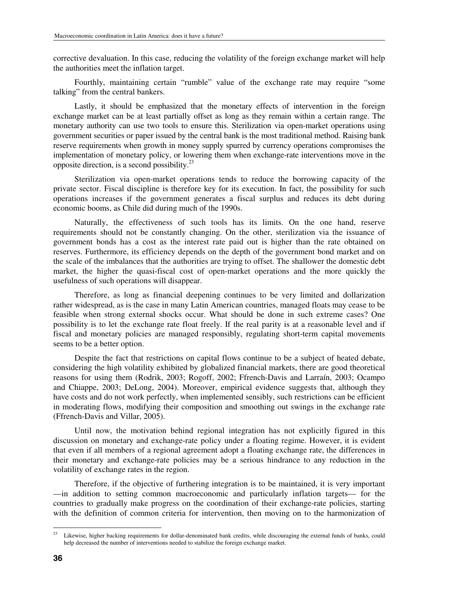corrective devaluation. In this case, reducing the volatility of the foreign exchange market will help the authorities meet the inflation target.

Fourthly, maintaining certain "rumble" value of the exchange rate may require "some talking" from the central bankers.

Lastly, it should be emphasized that the monetary effects of intervention in the foreign exchange market can be at least partially offset as long as they remain within a certain range. The monetary authority can use two tools to ensure this. Sterilization via open-market operations using government securities or paper issued by the central bank is the most traditional method. Raising bank reserve requirements when growth in money supply spurred by currency operations compromises the implementation of monetary policy, or lowering them when exchange-rate interventions move in the opposite direction, is a second possibility. $^{23}$ 

Sterilization via open-market operations tends to reduce the borrowing capacity of the private sector. Fiscal discipline is therefore key for its execution. In fact, the possibility for such operations increases if the government generates a fiscal surplus and reduces its debt during economic booms, as Chile did during much of the 1990s.

Naturally, the effectiveness of such tools has its limits. On the one hand, reserve requirements should not be constantly changing. On the other, sterilization via the issuance of government bonds has a cost as the interest rate paid out is higher than the rate obtained on reserves. Furthermore, its efficiency depends on the depth of the government bond market and on the scale of the imbalances that the authorities are trying to offset. The shallower the domestic debt market, the higher the quasi-fiscal cost of open-market operations and the more quickly the usefulness of such operations will disappear.

Therefore, as long as financial deepening continues to be very limited and dollarization rather widespread, as is the case in many Latin American countries, managed floats may cease to be feasible when strong external shocks occur. What should be done in such extreme cases? One possibility is to let the exchange rate float freely. If the real parity is at a reasonable level and if fiscal and monetary policies are managed responsibly, regulating short-term capital movements seems to be a better option.

Despite the fact that restrictions on capital flows continue to be a subject of heated debate, considering the high volatility exhibited by globalized financial markets, there are good theoretical reasons for using them (Rodrik, 2003; Rogoff, 2002; Ffrench-Davis and Larraín, 2003; Ocampo and Chiappe, 2003; DeLong, 2004). Moreover, empirical evidence suggests that, although they have costs and do not work perfectly, when implemented sensibly, such restrictions can be efficient in moderating flows, modifying their composition and smoothing out swings in the exchange rate (Ffrench-Davis and Villar, 2005).

Until now, the motivation behind regional integration has not explicitly figured in this discussion on monetary and exchange-rate policy under a floating regime. However, it is evident that even if all members of a regional agreement adopt a floating exchange rate, the differences in their monetary and exchange-rate policies may be a serious hindrance to any reduction in the volatility of exchange rates in the region.

Therefore, if the objective of furthering integration is to be maintained, it is very important —in addition to setting common macroeconomic and particularly inflation targets— for the countries to gradually make progress on the coordination of their exchange-rate policies, starting with the definition of common criteria for intervention, then moving on to the harmonization of

<sup>23</sup> Likewise, higher backing requirements for dollar-denominated bank credits, while discouraging the external funds of banks, could help decreased the number of interventions needed to stabilize the foreign exchange market.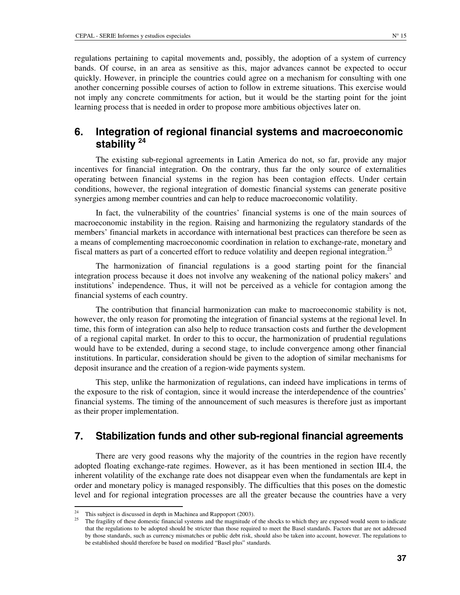regulations pertaining to capital movements and, possibly, the adoption of a system of currency bands. Of course, in an area as sensitive as this, major advances cannot be expected to occur quickly. However, in principle the countries could agree on a mechanism for consulting with one another concerning possible courses of action to follow in extreme situations. This exercise would not imply any concrete commitments for action, but it would be the starting point for the joint learning process that is needed in order to propose more ambitious objectives later on.

# **6. Integration of regional financial systems and macroeconomic stability <sup>24</sup>**

The existing sub-regional agreements in Latin America do not, so far, provide any major incentives for financial integration. On the contrary, thus far the only source of externalities operating between financial systems in the region has been contagion effects. Under certain conditions, however, the regional integration of domestic financial systems can generate positive synergies among member countries and can help to reduce macroeconomic volatility.

In fact, the vulnerability of the countries' financial systems is one of the main sources of macroeconomic instability in the region. Raising and harmonizing the regulatory standards of the members' financial markets in accordance with international best practices can therefore be seen as a means of complementing macroeconomic coordination in relation to exchange-rate, monetary and fiscal matters as part of a concerted effort to reduce volatility and deepen regional integration.<sup>25</sup>

The harmonization of financial regulations is a good starting point for the financial integration process because it does not involve any weakening of the national policy makers' and institutions' independence. Thus, it will not be perceived as a vehicle for contagion among the financial systems of each country.

The contribution that financial harmonization can make to macroeconomic stability is not, however, the only reason for promoting the integration of financial systems at the regional level. In time, this form of integration can also help to reduce transaction costs and further the development of a regional capital market. In order to this to occur, the harmonization of prudential regulations would have to be extended, during a second stage, to include convergence among other financial institutions. In particular, consideration should be given to the adoption of similar mechanisms for deposit insurance and the creation of a region-wide payments system.

This step, unlike the harmonization of regulations, can indeed have implications in terms of the exposure to the risk of contagion, since it would increase the interdependence of the countries' financial systems. The timing of the announcement of such measures is therefore just as important as their proper implementation.

## **7. Stabilization funds and other sub-regional financial agreements**

There are very good reasons why the majority of the countries in the region have recently adopted floating exchange-rate regimes. However, as it has been mentioned in section III.4, the inherent volatility of the exchange rate does not disappear even when the fundamentals are kept in order and monetary policy is managed responsibly. The difficulties that this poses on the domestic level and for regional integration processes are all the greater because the countries have a very

<sup>24</sup> This subject is discussed in depth in Machinea and Rappoport (2003).

<sup>25</sup> The fragility of these domestic financial systems and the magnitude of the shocks to which they are exposed would seem to indicate that the regulations to be adopted should be stricter than those required to meet the Basel standards. Factors that are not addressed by those standards, such as currency mismatches or public debt risk, should also be taken into account, however. The regulations to be established should therefore be based on modified "Basel plus" standards.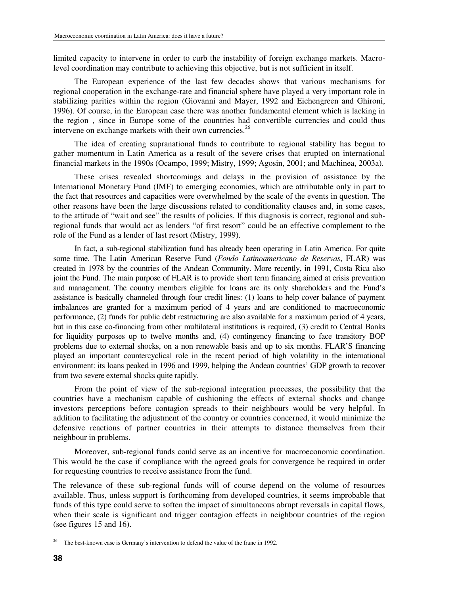limited capacity to intervene in order to curb the instability of foreign exchange markets. Macrolevel coordination may contribute to achieving this objective, but is not sufficient in itself.

The European experience of the last few decades shows that various mechanisms for regional cooperation in the exchange-rate and financial sphere have played a very important role in stabilizing parities within the region (Giovanni and Mayer, 1992 and Eichengreen and Ghironi, 1996). Of course, in the European case there was another fundamental element which is lacking in the region , since in Europe some of the countries had convertible currencies and could thus intervene on exchange markets with their own currencies.<sup>26</sup>

The idea of creating supranational funds to contribute to regional stability has begun to gather momentum in Latin America as a result of the severe crises that erupted on international financial markets in the 1990s (Ocampo, 1999; Mistry, 1999; Agosin, 2001; and Machinea, 2003a).

These crises revealed shortcomings and delays in the provision of assistance by the International Monetary Fund (IMF) to emerging economies, which are attributable only in part to the fact that resources and capacities were overwhelmed by the scale of the events in question. The other reasons have been the large discussions related to conditionality clauses and, in some cases, to the attitude of "wait and see" the results of policies. If this diagnosis is correct, regional and subregional funds that would act as lenders "of first resort" could be an effective complement to the role of the Fund as a lender of last resort (Mistry, 1999).

In fact, a sub-regional stabilization fund has already been operating in Latin America. For quite some time. The Latin American Reserve Fund (*Fondo Latinoamericano de Reservas*, FLAR) was created in 1978 by the countries of the Andean Community. More recently, in 1991, Costa Rica also joint the Fund. The main purpose of FLAR is to provide short term financing aimed at crisis prevention and management. The country members eligible for loans are its only shareholders and the Fund's assistance is basically channeled through four credit lines: (1) loans to help cover balance of payment imbalances are granted for a maximum period of 4 years and are conditioned to macroeconomic performance, (2) funds for public debt restructuring are also available for a maximum period of 4 years, but in this case co-financing from other multilateral institutions is required, (3) credit to Central Banks for liquidity purposes up to twelve months and, (4) contingency financing to face transitory BOP problems due to external shocks, on a non renewable basis and up to six months. FLAR'S financing played an important countercyclical role in the recent period of high volatility in the international environment: its loans peaked in 1996 and 1999, helping the Andean countries' GDP growth to recover from two severe external shocks quite rapidly.

From the point of view of the sub-regional integration processes, the possibility that the countries have a mechanism capable of cushioning the effects of external shocks and change investors perceptions before contagion spreads to their neighbours would be very helpful. In addition to facilitating the adjustment of the country or countries concerned, it would minimize the defensive reactions of partner countries in their attempts to distance themselves from their neighbour in problems.

Moreover, sub-regional funds could serve as an incentive for macroeconomic coordination. This would be the case if compliance with the agreed goals for convergence be required in order for requesting countries to receive assistance from the fund.

The relevance of these sub-regional funds will of course depend on the volume of resources available. Thus, unless support is forthcoming from developed countries, it seems improbable that funds of this type could serve to soften the impact of simultaneous abrupt reversals in capital flows, when their scale is significant and trigger contagion effects in neighbour countries of the region (see figures 15 and 16).

 $\overline{a}$ 

<sup>26</sup> The best-known case is Germany's intervention to defend the value of the franc in 1992.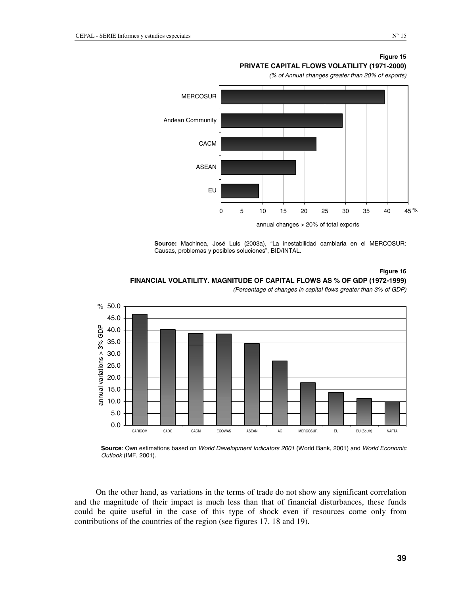#### **Figure 15**



(% of Annual changes greater than 20% of exports)



**Source:** Machinea, José Luis (2003a), "La inestabilidad cambiaria en el MERCOSUR: Causas, problemas y posibles soluciones", BID/INTAL.





**Source**: Own estimations based on World Development Indicators 2001 (World Bank, 2001) and World Economic Outlook (IMF, 2001).

On the other hand, as variations in the terms of trade do not show any significant correlation and the magnitude of their impact is much less than that of financial disturbances, these funds could be quite useful in the case of this type of shock even if resources come only from contributions of the countries of the region (see figures 17, 18 and 19).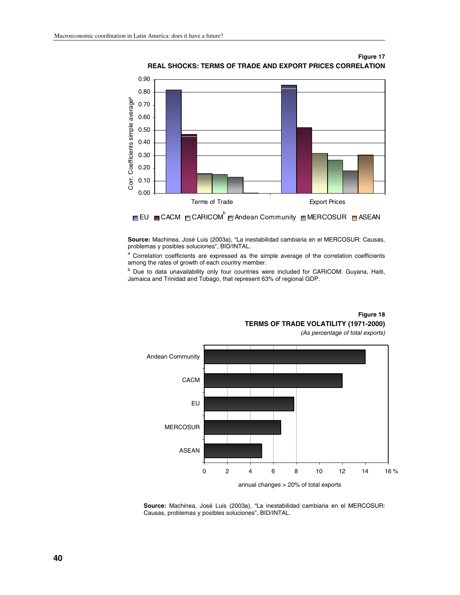

#### **Figure 17 REAL SHOCKS: TERMS OF TRADE AND EXPORT PRICES CORRELATION**

**Source:** Machinea, José Luis (2003a), "La inestabilidad cambiaria en el MERCOSUR: Causas, problemas y posibles soluciones", BID/INTAL.

a Correlation coefficients are expressed as the simple average of the correlation coefficients among the rates of growth of each country member.

<sup>b</sup> Due to data unavailability only four countries were included for CARICOM: Guyana, Haiti, Jamaica and Trinidad and Tobago, that represent 63% of regional GDP.



#### **Figure 18 TERMS OF TRADE VOLATILITY (1971-2000)**

(As percentage of total exports)

**Source:** Machinea, José Luis (2003a), "La inestabilidad cambiaria en el MERCOSUR: Causas, problemas y posibles soluciones", BID/INTAL.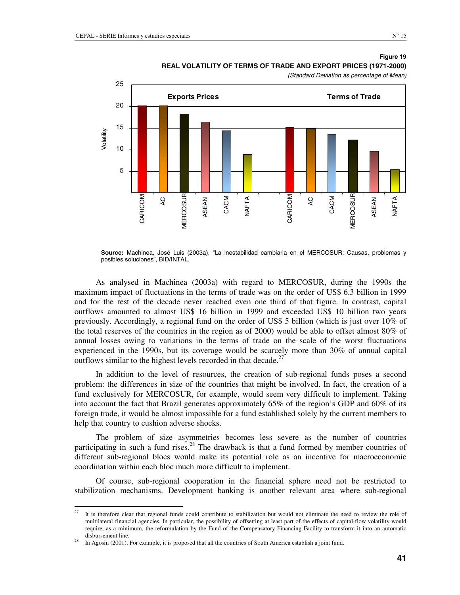#### **Figure 19**

**REAL VOLATILITY OF TERMS OF TRADE AND EXPORT PRICES (1971-2000)** 

(Standard Deviation as percentage of Mean)



**Source:** Machinea, José Luis (2003a), "La inestabilidad cambiaria en el MERCOSUR: Causas, problemas y posibles soluciones", BID/INTAL.

As analysed in Machinea (2003a) with regard to MERCOSUR, during the 1990s the maximum impact of fluctuations in the terms of trade was on the order of US\$ 6.3 billion in 1999 and for the rest of the decade never reached even one third of that figure. In contrast, capital outflows amounted to almost US\$ 16 billion in 1999 and exceeded US\$ 10 billion two years previously. Accordingly, a regional fund on the order of US\$ 5 billion (which is just over 10% of the total reserves of the countries in the region as of 2000) would be able to offset almost 80% of annual losses owing to variations in the terms of trade on the scale of the worst fluctuations experienced in the 1990s, but its coverage would be scarcely more than 30% of annual capital outflows similar to the highest levels recorded in that decade.<sup>27</sup>

In addition to the level of resources, the creation of sub-regional funds poses a second problem: the differences in size of the countries that might be involved. In fact, the creation of a fund exclusively for MERCOSUR, for example, would seem very difficult to implement. Taking into account the fact that Brazil generates approximately 65% of the region's GDP and 60% of its foreign trade, it would be almost impossible for a fund established solely by the current members to help that country to cushion adverse shocks.

The problem of size asymmetries becomes less severe as the number of countries participating in such a fund rises.<sup>28</sup> The drawback is that a fund formed by member countries of different sub-regional blocs would make its potential role as an incentive for macroeconomic coordination within each bloc much more difficult to implement.

Of course, sub-regional cooperation in the financial sphere need not be restricted to stabilization mechanisms. Development banking is another relevant area where sub-regional

 $27$ 27 It is therefore clear that regional funds could contribute to stabilization but would not eliminate the need to review the role of multilateral financial agencies. In particular, the possibility of offsetting at least part of the effects of capital-flow volatility would require, as a minimum, the reformulation by the Fund of the Compensatory Financing Facility to transform it into an automatic disbursement line.<br><sup>28</sup> In Agosin (2001). For example, it is proposed that all the countries of South America establish a joint fund.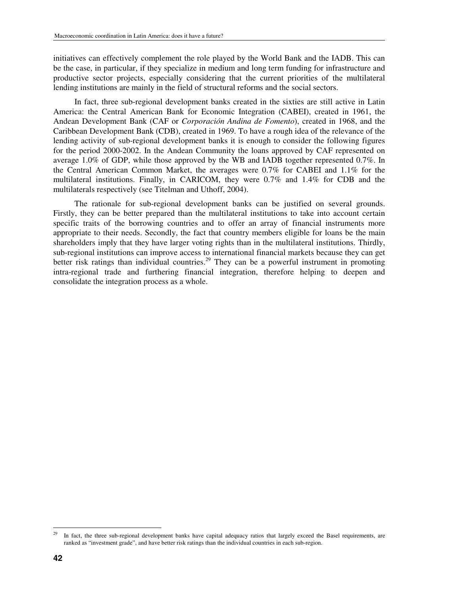initiatives can effectively complement the role played by the World Bank and the IADB. This can be the case, in particular, if they specialize in medium and long term funding for infrastructure and productive sector projects, especially considering that the current priorities of the multilateral lending institutions are mainly in the field of structural reforms and the social sectors.

In fact, three sub-regional development banks created in the sixties are still active in Latin America: the Central American Bank for Economic Integration (CABEI), created in 1961, the Andean Development Bank (CAF or *Corporación Andina de Fomento*), created in 1968, and the Caribbean Development Bank (CDB), created in 1969. To have a rough idea of the relevance of the lending activity of sub-regional development banks it is enough to consider the following figures for the period 2000-2002. In the Andean Community the loans approved by CAF represented on average 1.0% of GDP, while those approved by the WB and IADB together represented 0.7%. In the Central American Common Market, the averages were 0.7% for CABEI and 1.1% for the multilateral institutions. Finally, in CARICOM, they were 0.7% and 1.4% for CDB and the multilaterals respectively (see Titelman and Uthoff, 2004).

The rationale for sub-regional development banks can be justified on several grounds. Firstly, they can be better prepared than the multilateral institutions to take into account certain specific traits of the borrowing countries and to offer an array of financial instruments more appropriate to their needs. Secondly, the fact that country members eligible for loans be the main shareholders imply that they have larger voting rights than in the multilateral institutions. Thirdly, sub-regional institutions can improve access to international financial markets because they can get better risk ratings than individual countries.<sup>29</sup> They can be a powerful instrument in promoting intra-regional trade and furthering financial integration, therefore helping to deepen and consolidate the integration process as a whole.

 $\overline{a}$ 

In fact, the three sub-regional development banks have capital adequacy ratios that largely exceed the Basel requirements, are ranked as "investment grade", and have better risk ratings than the individual countries in each sub-region.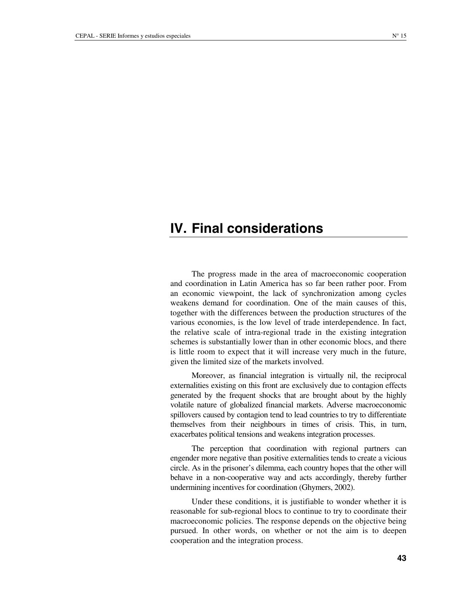# **IV. Final considerations**

The progress made in the area of macroeconomic cooperation and coordination in Latin America has so far been rather poor. From an economic viewpoint, the lack of synchronization among cycles weakens demand for coordination. One of the main causes of this, together with the differences between the production structures of the various economies, is the low level of trade interdependence. In fact, the relative scale of intra-regional trade in the existing integration schemes is substantially lower than in other economic blocs, and there is little room to expect that it will increase very much in the future, given the limited size of the markets involved.

Moreover, as financial integration is virtually nil, the reciprocal externalities existing on this front are exclusively due to contagion effects generated by the frequent shocks that are brought about by the highly volatile nature of globalized financial markets. Adverse macroeconomic spillovers caused by contagion tend to lead countries to try to differentiate themselves from their neighbours in times of crisis. This, in turn, exacerbates political tensions and weakens integration processes.

The perception that coordination with regional partners can engender more negative than positive externalities tends to create a vicious circle. As in the prisoner's dilemma, each country hopes that the other will behave in a non-cooperative way and acts accordingly, thereby further undermining incentives for coordination (Ghymers, 2002).

Under these conditions, it is justifiable to wonder whether it is reasonable for sub-regional blocs to continue to try to coordinate their macroeconomic policies. The response depends on the objective being pursued. In other words, on whether or not the aim is to deepen cooperation and the integration process.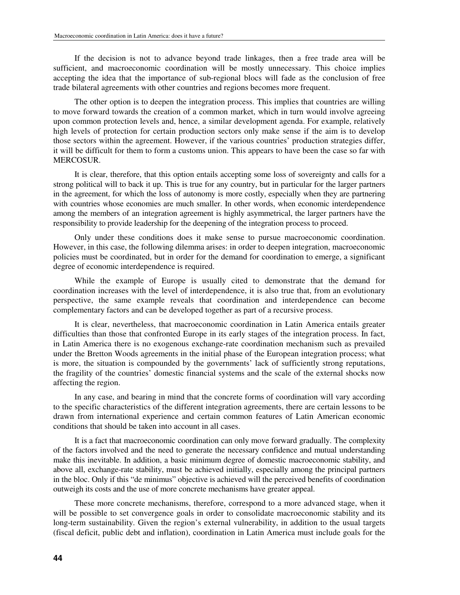If the decision is not to advance beyond trade linkages, then a free trade area will be sufficient, and macroeconomic coordination will be mostly unnecessary. This choice implies accepting the idea that the importance of sub-regional blocs will fade as the conclusion of free trade bilateral agreements with other countries and regions becomes more frequent.

The other option is to deepen the integration process. This implies that countries are willing to move forward towards the creation of a common market, which in turn would involve agreeing upon common protection levels and, hence, a similar development agenda. For example, relatively high levels of protection for certain production sectors only make sense if the aim is to develop those sectors within the agreement. However, if the various countries' production strategies differ, it will be difficult for them to form a customs union. This appears to have been the case so far with MERCOSUR.

It is clear, therefore, that this option entails accepting some loss of sovereignty and calls for a strong political will to back it up. This is true for any country, but in particular for the larger partners in the agreement, for which the loss of autonomy is more costly, especially when they are partnering with countries whose economies are much smaller. In other words, when economic interdependence among the members of an integration agreement is highly asymmetrical, the larger partners have the responsibility to provide leadership for the deepening of the integration process to proceed.

Only under these conditions does it make sense to pursue macroeconomic coordination. However, in this case, the following dilemma arises: in order to deepen integration, macroeconomic policies must be coordinated, but in order for the demand for coordination to emerge, a significant degree of economic interdependence is required.

While the example of Europe is usually cited to demonstrate that the demand for coordination increases with the level of interdependence, it is also true that, from an evolutionary perspective, the same example reveals that coordination and interdependence can become complementary factors and can be developed together as part of a recursive process.

It is clear, nevertheless, that macroeconomic coordination in Latin America entails greater difficulties than those that confronted Europe in its early stages of the integration process. In fact, in Latin America there is no exogenous exchange-rate coordination mechanism such as prevailed under the Bretton Woods agreements in the initial phase of the European integration process; what is more, the situation is compounded by the governments' lack of sufficiently strong reputations, the fragility of the countries' domestic financial systems and the scale of the external shocks now affecting the region.

In any case, and bearing in mind that the concrete forms of coordination will vary according to the specific characteristics of the different integration agreements, there are certain lessons to be drawn from international experience and certain common features of Latin American economic conditions that should be taken into account in all cases.

It is a fact that macroeconomic coordination can only move forward gradually. The complexity of the factors involved and the need to generate the necessary confidence and mutual understanding make this inevitable. In addition, a basic minimum degree of domestic macroeconomic stability, and above all, exchange-rate stability, must be achieved initially, especially among the principal partners in the bloc. Only if this "de minimus" objective is achieved will the perceived benefits of coordination outweigh its costs and the use of more concrete mechanisms have greater appeal.

These more concrete mechanisms, therefore, correspond to a more advanced stage, when it will be possible to set convergence goals in order to consolidate macroeconomic stability and its long-term sustainability. Given the region's external vulnerability, in addition to the usual targets (fiscal deficit, public debt and inflation), coordination in Latin America must include goals for the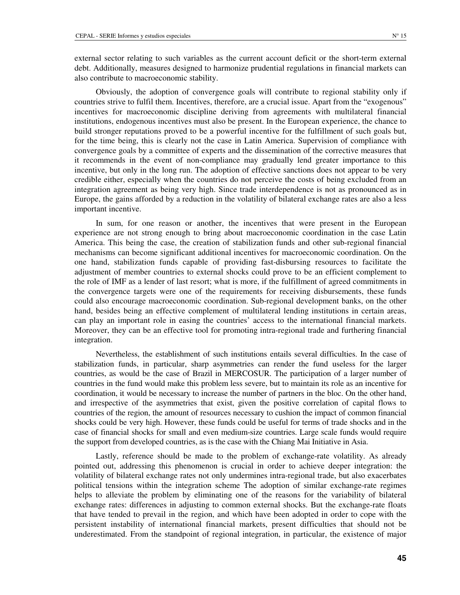external sector relating to such variables as the current account deficit or the short-term external debt. Additionally, measures designed to harmonize prudential regulations in financial markets can also contribute to macroeconomic stability.

Obviously, the adoption of convergence goals will contribute to regional stability only if countries strive to fulfil them. Incentives, therefore, are a crucial issue. Apart from the "exogenous" incentives for macroeconomic discipline deriving from agreements with multilateral financial institutions, endogenous incentives must also be present. In the European experience, the chance to build stronger reputations proved to be a powerful incentive for the fulfillment of such goals but, for the time being, this is clearly not the case in Latin America. Supervision of compliance with convergence goals by a committee of experts and the dissemination of the corrective measures that it recommends in the event of non-compliance may gradually lend greater importance to this incentive, but only in the long run. The adoption of effective sanctions does not appear to be very credible either, especially when the countries do not perceive the costs of being excluded from an integration agreement as being very high. Since trade interdependence is not as pronounced as in Europe, the gains afforded by a reduction in the volatility of bilateral exchange rates are also a less important incentive.

In sum, for one reason or another, the incentives that were present in the European experience are not strong enough to bring about macroeconomic coordination in the case Latin America. This being the case, the creation of stabilization funds and other sub-regional financial mechanisms can become significant additional incentives for macroeconomic coordination. On the one hand, stabilization funds capable of providing fast-disbursing resources to facilitate the adjustment of member countries to external shocks could prove to be an efficient complement to the role of IMF as a lender of last resort; what is more, if the fulfillment of agreed commitments in the convergence targets were one of the requirements for receiving disbursements, these funds could also encourage macroeconomic coordination. Sub-regional development banks, on the other hand, besides being an effective complement of multilateral lending institutions in certain areas, can play an important role in easing the countries' access to the international financial markets. Moreover, they can be an effective tool for promoting intra-regional trade and furthering financial integration.

Nevertheless, the establishment of such institutions entails several difficulties. In the case of stabilization funds, in particular, sharp asymmetries can render the fund useless for the larger countries, as would be the case of Brazil in MERCOSUR. The participation of a larger number of countries in the fund would make this problem less severe, but to maintain its role as an incentive for coordination, it would be necessary to increase the number of partners in the bloc. On the other hand, and irrespective of the asymmetries that exist, given the positive correlation of capital flows to countries of the region, the amount of resources necessary to cushion the impact of common financial shocks could be very high. However, these funds could be useful for terms of trade shocks and in the case of financial shocks for small and even medium-size countries. Large scale funds would require the support from developed countries, as is the case with the Chiang Mai Initiative in Asia.

Lastly, reference should be made to the problem of exchange-rate volatility. As already pointed out, addressing this phenomenon is crucial in order to achieve deeper integration: the volatility of bilateral exchange rates not only undermines intra-regional trade, but also exacerbates political tensions within the integration scheme The adoption of similar exchange-rate regimes helps to alleviate the problem by eliminating one of the reasons for the variability of bilateral exchange rates: differences in adjusting to common external shocks. But the exchange-rate floats that have tended to prevail in the region, and which have been adopted in order to cope with the persistent instability of international financial markets, present difficulties that should not be underestimated. From the standpoint of regional integration, in particular, the existence of major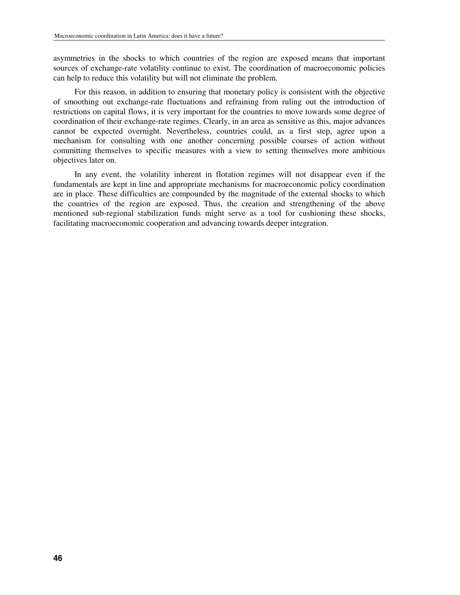asymmetries in the shocks to which countries of the region are exposed means that important sources of exchange-rate volatility continue to exist. The coordination of macroeconomic policies can help to reduce this volatility but will not eliminate the problem.

For this reason, in addition to ensuring that monetary policy is consistent with the objective of smoothing out exchange-rate fluctuations and refraining from ruling out the introduction of restrictions on capital flows, it is very important for the countries to move towards some degree of coordination of their exchange-rate regimes. Clearly, in an area as sensitive as this, major advances cannot be expected overnight. Nevertheless, countries could, as a first step, agree upon a mechanism for consulting with one another concerning possible courses of action without committing themselves to specific measures with a view to setting themselves more ambitious objectives later on.

In any event, the volatility inherent in flotation regimes will not disappear even if the fundamentals are kept in line and appropriate mechanisms for macroeconomic policy coordination are in place. These difficulties are compounded by the magnitude of the external shocks to which the countries of the region are exposed. Thus, the creation and strengthening of the above mentioned sub-regional stabilization funds might serve as a tool for cushioning these shocks, facilitating macroeconomic cooperation and advancing towards deeper integration.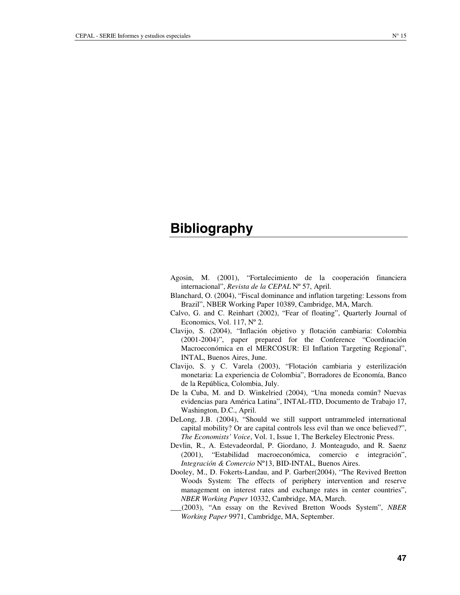# **Bibliography**

- Agosin, M. (2001), "Fortalecimiento de la cooperación financiera internacional", *Revista de la CEPAL* Nº 57, April.
- Blanchard, O. (2004), "Fiscal dominance and inflation targeting: Lessons from Brazil", NBER Working Paper 10389, Cambridge, MA, March.
- Calvo, G. and C. Reinhart (2002), "Fear of floating", Quarterly Journal of Economics, Vol. 117, Nº 2.
- Clavijo, S. (2004), "Inflación objetivo y flotación cambiaria: Colombia (2001-2004)", paper prepared for the Conference "Coordinación Macroeconómica en el MERCOSUR: El Inflation Targeting Regional", INTAL, Buenos Aires, June.
- Clavijo, S. y C. Varela (2003), "Flotación cambiaria y esterilización monetaria: La experiencia de Colombia", Borradores de Economía, Banco de la República, Colombia, July.
- De la Cuba, M. and D. Winkelried (2004), "Una moneda común? Nuevas evidencias para América Latina", INTAL-ITD, Documento de Trabajo 17, Washington, D.C., April.
- DeLong, J.B. (2004), "Should we still support untrammeled international capital mobility? Or are capital controls less evil than we once believed?", *The Economists' Voice*, Vol. 1, Issue 1, The Berkeley Electronic Press.
- Devlin, R., A. Estevadeordal, P. Giordano, J. Monteagudo, and R. Saenz (2001), "Estabilidad macroeconómica, comercio e integración", *Integración & Comercio* Nº13, BID-INTAL, Buenos Aires.
- Dooley, M., D. Fokerts-Landau, and P. Garber(2004), "The Revived Bretton Woods System: The effects of periphery intervention and reserve management on interest rates and exchange rates in center countries", *NBER Working Paper* 10332, Cambridge, MA, March.
- \_\_\_(2003), "An essay on the Revived Bretton Woods System", *NBER Working Paper* 9971, Cambridge, MA, September.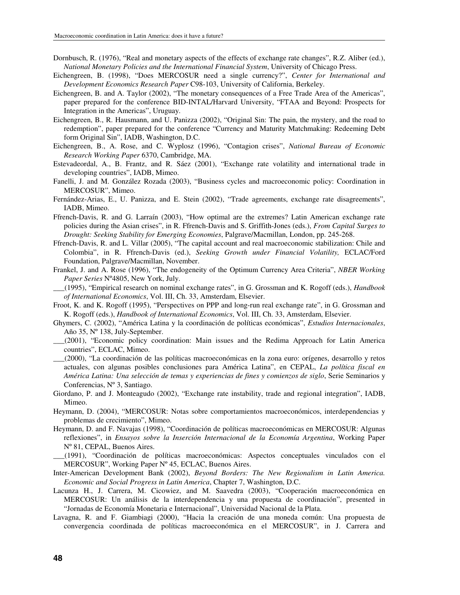- Dornbusch, R. (1976), "Real and monetary aspects of the effects of exchange rate changes", R.Z. Aliber (ed.), *National Monetary Policies and the International Financial System*, University of Chicago Press.
- Eichengreen, B. (1998), "Does MERCOSUR need a single currency?", *Center for International and Development Economics Research Paper* C98-103, University of California, Berkeley.
- Eichengreen, B. and A. Taylor (2002), "The monetary consequences of a Free Trade Area of the Americas", paper prepared for the conference BID-INTAL/Harvard University, "FTAA and Beyond: Prospects for Integration in the Americas", Uruguay.
- Eichengreen, B., R. Hausmann, and U. Panizza (2002), "Original Sin: The pain, the mystery, and the road to redemption", paper prepared for the conference "Currency and Maturity Matchmaking: Redeeming Debt form Original Sin", IADB, Washington, D.C.
- Eichengreen, B., A. Rose, and C. Wyplosz (1996), "Contagion crises", *National Bureau of Economic Research Working Paper* 6370, Cambridge, MA.
- Estevadeordal, A., B. Frantz, and R. Sáez (2001), "Exchange rate volatility and international trade in developing countries", IADB, Mimeo.
- Fanelli, J. and M. González Rozada (2003), "Business cycles and macroeconomic policy: Coordination in MERCOSUR", Mimeo.
- Fernández-Arias, E., U. Panizza, and E. Stein (2002), "Trade agreements, exchange rate disagreements", IADB, Mimeo.
- Ffrench-Davis, R. and G. Larraín (2003), "How optimal are the extremes? Latin American exchange rate policies during the Asian crises", in R. Ffrench-Davis and S. Griffith-Jones (eds.), *From Capital Surges to Drought: Seeking Stability for Emerging Economies*, Palgrave/Macmillan, London, pp. 245-268.
- Ffrench-Davis, R. and L. Villar (2005), "The capital account and real macroeconomic stabilization: Chile and Colombia", in R. Ffrench-Davis (ed.), *Seeking Growth under Financial Volatility,* ECLAC/Ford Foundation, Palgrave/Macmillan, November.
- Frankel, J. and A. Rose (1996), "The endogeneity of the Optimum Currency Area Criteria", *NBER Working Paper Series* Nº4805, New York, July.
- \_\_\_(1995), "Empirical research on nominal exchange rates", in G. Grossman and K. Rogoff (eds.), *Handbook of International Economics*, Vol. III, Ch. 33, Amsterdam, Elsevier.
- Froot, K. and K. Rogoff (1995), "Perspectives on PPP and long-run real exchange rate", in G. Grossman and K. Rogoff (eds.), *Handbook of International Economics*, Vol. III, Ch. 33, Amsterdam, Elsevier.
- Ghymers, C. (2002), "América Latina y la coordinación de políticas económicas", *Estudios Internacionales*, Año 35, Nº 138, July-September.
- \_\_\_(2001), "Economic policy coordination: Main issues and the Redima Approach for Latin America countries", ECLAC, Mimeo.
- \_\_\_(2000), "La coordinación de las políticas macroeconómicas en la zona euro: orígenes, desarrollo y retos actuales, con algunas posibles conclusiones para América Latina", en CEPAL, *La política fiscal en América Latina: Una selección de temas y experiencias de fines y comienzos de siglo*, Serie Seminarios y Conferencias, Nº 3, Santiago.
- Giordano, P. and J. Monteagudo (2002), "Exchange rate instability, trade and regional integration", IADB, Mimeo.
- Heymann, D. (2004), "MERCOSUR: Notas sobre comportamientos macroeconómicos, interdependencias y problemas de crecimiento", Mimeo.
- Heymann, D. and F. Navajas (1998), "Coordinación de políticas macroeconómicas en MERCOSUR: Algunas reflexiones", in *Ensayos sobre la Inserción Internacional de la Economía Argentina*, Working Paper Nº 81, CEPAL, Buenos Aires.
	- \_\_\_(1991), "Coordinación de políticas macroeconómicas: Aspectos conceptuales vinculados con el MERCOSUR", Working Paper Nº 45, ECLAC, Buenos Aires.
- Inter-American Development Bank (2002), *Beyond Borders: The New Regionalism in Latin America. Economic and Social Progress in Latin America*, Chapter 7, Washington, D.C.
- Lacunza H., J. Carrera, M. Cicowiez, and M. Saavedra (2003), "Cooperación macroeconómica en MERCOSUR: Un análisis de la interdependencia y una propuesta de coordinación", presented in "Jornadas de Economía Monetaria e Internacional", Universidad Nacional de la Plata.
- Lavagna, R. and F. Giambiagi (2000), "Hacia la creación de una moneda común: Una propuesta de convergencia coordinada de políticas macroeconómica en el MERCOSUR", in J. Carrera and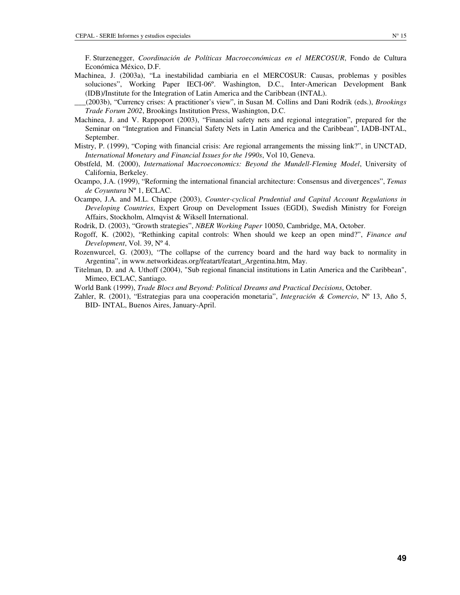F. Sturzenegger, *Coordinación de Políticas Macroeconómicas en el MERCOSUR*, Fondo de Cultura Económica México, D.F.

- Machinea, J. (2003a), "La inestabilidad cambiaria en el MERCOSUR: Causas, problemas y posibles soluciones", Working Paper IECI-06º. Washington, D.C., Inter-American Development Bank (IDB)/Institute for the Integration of Latin America and the Caribbean (INTAL).
- \_\_\_(2003b), "Currency crises: A practitioner's view", in Susan M. Collins and Dani Rodrik (eds.), *Brookings Trade Forum 2002*, Brookings Institution Press, Washington, D.C.
- Machinea, J. and V. Rappoport (2003), "Financial safety nets and regional integration", prepared for the Seminar on "Integration and Financial Safety Nets in Latin America and the Caribbean", IADB-INTAL, September.
- Mistry, P. (1999), "Coping with financial crisis: Are regional arrangements the missing link?", in UNCTAD, *International Monetary and Financial Issues for the 1990s*, Vol 10, Geneva.
- Obstfeld, M. (2000), *International Macroeconomics: Beyond the Mundell-Fleming Model*, University of California, Berkeley.
- Ocampo, J.A. (1999), "Reforming the international financial architecture: Consensus and divergences", *Temas de Coyuntura* Nº 1, ECLAC.
- Ocampo, J.A. and M.L. Chiappe (2003), *Counter-cyclical Prudential and Capital Account Regulations in Developing Countries*, Expert Group on Development Issues (EGDI), Swedish Ministry for Foreign Affairs, Stockholm, Almqvist & Wiksell International.
- Rodrik, D. (2003), "Growth strategies", *NBER Working Paper* 10050, Cambridge, MA, October.
- Rogoff, K. (2002), "Rethinking capital controls: When should we keep an open mind?", *Finance and Development*, Vol. 39, Nº 4.
- Rozenwurcel, G. (2003), "The collapse of the currency board and the hard way back to normality in Argentina", in www.networkideas.org/featart/featart\_Argentina.htm, May.
- Titelman, D. and A. Uthoff (2004), "Sub regional financial institutions in Latin America and the Caribbean", Mimeo, ECLAC, Santiago.
- World Bank (1999), *Trade Blocs and Beyond: Political Dreams and Practical Decisions*, October.
- Zahler, R. (2001), "Estrategias para una cooperación monetaria", *Integración & Comercio*, Nº 13, Año 5, BID- INTAL, Buenos Aires, January-April.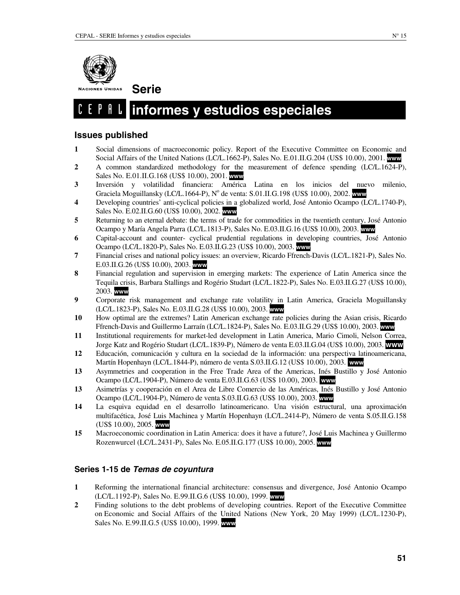

**Serie** 

#### **informes y estudios especiales** $C E P A$

### **Issues published**

- **1** Social dimensions of macroeconomic policy. Report of the Executive Committee on Economic and Social Affairs of the United Nations (LC/L.1662-P), Sales No. E.01.II.G.204 (US\$ 10.00), 2001. **www**
- **2** A common standardized methodology for the measurement of defence spending (LC/L.1624-P), Sales No. E.01.II.G.168 (US\$ 10.00), 2001. **www**
- **3** Inversión y volatilidad financiera: América Latina en los inicios del nuevo milenio, Graciela Moguillansky (LC/L.1664-P), N<sup>o</sup> de venta: S.01.II.G.198 (US\$ 10.00), 2002. www
- **4** Developing countries' anti-cyclical policies in a globalized world, José Antonio Ocampo (LC/L.1740-P), Sales No. E.02.II.G.60 (US\$ 10.00), 2002. **www**
- **5** Returning to an eternal debate: the terms of trade for commodities in the twentieth century, José Antonio Ocampo y María Angela Parra (LC/L.1813-P), Sales No. E.03.II.G.16 (US\$ 10.00), 2003. **www**
- **6** Capital-account and counter- cyclical prudential regulations in developing countries, José Antonio Ocampo (LC/L.1820-P), Sales No. E.03.II.G.23 (US\$ 10.00), 2003. **www**
- **7** Financial crises and national policy issues: an overview, Ricardo Ffrench-Davis (LC/L.1821-P), Sales No. E.03.II.G.26 (US\$ 10.00), 2003. **www**
- **8** Financial regulation and supervision in emerging markets: The experience of Latin America since the Tequila crisis, Barbara Stallings and Rogério Studart (LC/L.1822-P), Sales No. E.03.II.G.27 (US\$ 10.00), 2003. **www**
- **9** Corporate risk management and exchange rate volatility in Latin America, Graciela Moguillansky (LC/L.1823-P), Sales No. E.03.II.G.28 (US\$ 10.00), 2003. **www**
- **10** How optimal are the extremes? Latin American exchange rate policies during the Asian crisis, Ricardo Ffrench-Davis and Guillermo Larraín (LC/L.1824-P), Sales No. E.03.II.G.29 (US\$ 10.00), 2003. **www**
- **11** Institutional requirements for market-led development in Latin America, Mario Cimoli, Nelson Correa, Jorge Katz and Rogério Studart (LC/L.1839-P), Número de venta E.03.II.G.04 (US\$ 10.00), 2003. **www**
- **12** Educación, comunicación y cultura en la sociedad de la información: una perspectiva latinoamericana, Martín Hopenhayn (LC/L.1844-P), número de venta S.03.II.G.12 (US\$ 10.00), 2003. **www**
- **13** Asymmetries and cooperation in the Free Trade Area of the Americas, Inés Bustillo y José Antonio Ocampo (LC/L.1904-P), Número de venta E.03.II.G.63 (US\$ 10.00), 2003. **www**
- **13** Asimetrías y cooperación en el Area de Libre Comercio de las Américas, Inés Bustillo y José Antonio Ocampo (LC/L.1904-P), Número de venta S.03.II.G.63 (US\$ 10.00), 2003. **www**
- **14** La esquiva equidad en el desarrollo latinoamericano. Una visión estructural, una aproximación multifacética, José Luis Machinea y Martín Hopenhayn (LC/L.2414-P), Número de venta S.05.II.G.158 (US\$ 10.00), 2005. **www**
- **15** Macroeconomic coordination in Latin America: does it have a future?, José Luis Machinea y Guillermo Rozenwurcel (LC/L.2431-P), Sales No. E.05.II.G.177 (US\$ 10.00), 2005. **www**

## **Series 1-15 de Temas de coyuntura**

- **1** Reforming the international financial architecture: consensus and divergence, José Antonio Ocampo (LC/L.1192-P), Sales No. E.99.II.G.6 (US\$ 10.00), 1999. **www**
- **2** Finding solutions to the debt problems of developing countries. Report of the Executive Committee on Economic and Social Affairs of the United Nations (New York, 20 May 1999) (LC/L.1230-P), Sales No. E.99.II.G.5 (US\$ 10.00), 1999. **www**